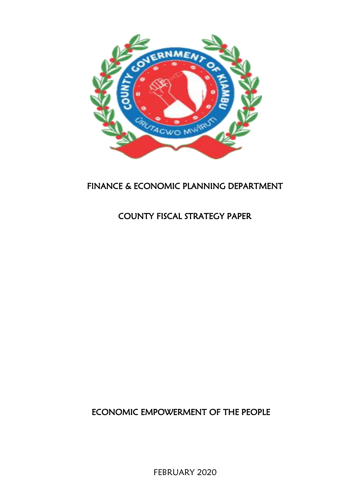

# FINANCE & ECONOMIC PLANNING DEPARTMENT

# COUNTY FISCAL STRATEGY PAPER

ECONOMIC EMPOWERMENT OF THE PEOPLE

FEBRUARY 2020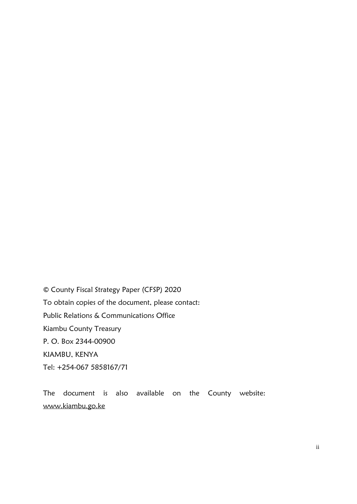© County Fiscal Strategy Paper (CFSP) 2020 To obtain copies of the document, please contact: Public Relations & Communications Office Kiambu County Treasury P. O. Box 2344-00900 KIAMBU, KENYA Tel: +254-067 5858167/71

The document is also available on the County website: [www.kiambu.go.ke](http://www.kiambu.go.ke/)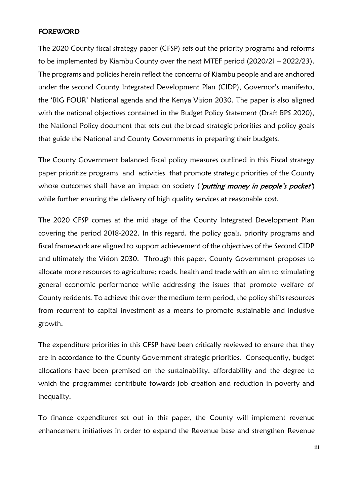## <span id="page-2-0"></span>FOREWORD

The 2020 County fiscal strategy paper (CFSP) sets out the priority programs and reforms to be implemented by Kiambu County over the next MTEF period (2020/21 – 2022/23). The programs and policies herein reflect the concerns of Kiambu people and are anchored under the second County Integrated Development Plan (CIDP), Governor's manifesto, the 'BIG FOUR' National agenda and the Kenya Vision 2030. The paper is also aligned with the national objectives contained in the Budget Policy Statement (Draft BPS 2020), the National Policy document that sets out the broad strategic priorities and policy goals that guide the National and County Governments in preparing their budgets.

The County Government balanced fiscal policy measures outlined in this Fiscal strategy paper prioritize programs and activities that promote strategic priorities of the County whose outcomes shall have an impact on society ('putting money in people's pocket') while further ensuring the delivery of high quality services at reasonable cost.

The 2020 CFSP comes at the mid stage of the County Integrated Development Plan covering the period 2018-2022. In this regard, the policy goals, priority programs and fiscal framework are aligned to support achievement of the objectives of the Second CIDP and ultimately the Vision 2030. Through this paper, County Government proposes to allocate more resources to agriculture; roads, health and trade with an aim to stimulating general economic performance while addressing the issues that promote welfare of County residents. To achieve this over the medium term period, the policy shifts resources from recurrent to capital investment as a means to promote sustainable and inclusive growth.

The expenditure priorities in this CFSP have been critically reviewed to ensure that they are in accordance to the County Government strategic priorities. Consequently, budget allocations have been premised on the sustainability, affordability and the degree to which the programmes contribute towards job creation and reduction in poverty and inequality.

To finance expenditures set out in this paper, the County will implement revenue enhancement initiatives in order to expand the Revenue base and strengthen Revenue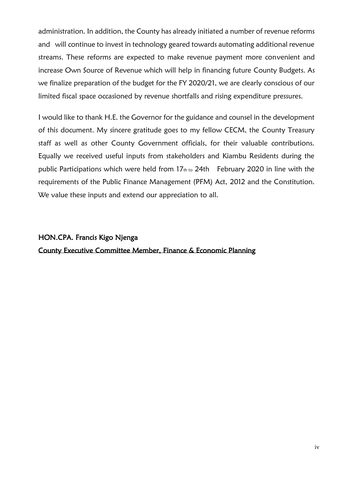administration. In addition, the County has already initiated a number of revenue reforms and will continue to invest in technology geared towards automating additional revenue streams. These reforms are expected to make revenue payment more convenient and increase Own Source of Revenue which will help in financing future County Budgets. As we finalize preparation of the budget for the FY 2020/21, we are clearly conscious of our limited fiscal space occasioned by revenue shortfalls and rising expenditure pressures.

I would like to thank H.E. the Governor for the guidance and counsel in the development of this document. My sincere gratitude goes to my fellow CECM, the County Treasury staff as well as other County Government officials, for their valuable contributions. Equally we received useful inputs from stakeholders and Kiambu Residents during the public Participations which were held from 17th to 24th February 2020 in line with the requirements of the Public Finance Management (PFM) Act, 2012 and the Constitution. We value these inputs and extend our appreciation to all.

# HON.CPA. Francis Kigo Njenga County Executive Committee Member, Finance & Economic Planning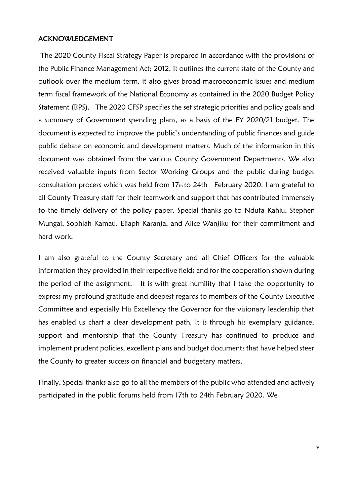### <span id="page-4-0"></span>ACKNOWLEDGEMENT

The 2020 County Fiscal Strategy Paper is prepared in accordance with the provisions of the Public Finance Management Act; 2012. It outlines the current state of the County and outlook over the medium term, it also gives broad macroeconomic issues and medium term fiscal framework of the National Economy as contained in the 2020 Budget Policy Statement (BPS). The 2020 CFSP specifies the set strategic priorities and policy goals and a summary of Government spending plans, as a basis of the FY 2020/21 budget. The document is expected to improve the public's understanding of public finances and guide public debate on economic and development matters. Much of the information in this document was obtained from the various County Government Departments. We also received valuable inputs from Sector Working Groups and the public during budget consultation process which was held from 17th to 24th February 2020. I am grateful to all County Treasury staff for their teamwork and support that has contributed immensely to the timely delivery of the policy paper. Special thanks go to Nduta Kahiu, Stephen Mungai, Sophiah Kamau, Eliaph Karanja, and Alice Wanjiku for their commitment and hard work.

I am also grateful to the County Secretary and all Chief Officers for the valuable information they provided in their respective fields and for the cooperation shown during the period of the assignment. It is with great humility that I take the opportunity to express my profound gratitude and deepest regards to members of the County Executive Committee and especially His Excellency the Governor for the visionary leadership that has enabled us chart a clear development path. It is through his exemplary guidance, support and mentorship that the County Treasury has continued to produce and implement prudent policies, excellent plans and budget documents that have helped steer the County to greater success on financial and budgetary matters.

Finally, Special thanks also go to all the members of the public who attended and actively participated in the public forums held from 17th to 24th February 2020. We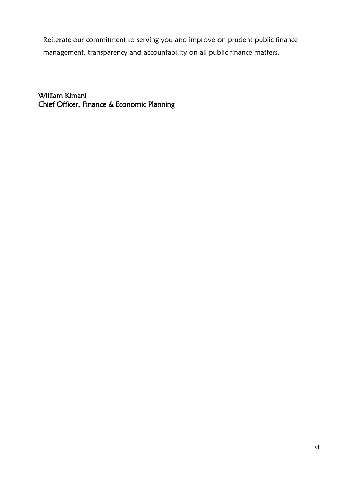Reiterate our commitment to serving you and improve on prudent public finance management, transparency and accountability on all public finance matters.

William Kimani Chief Officer, Finance & Economic Planning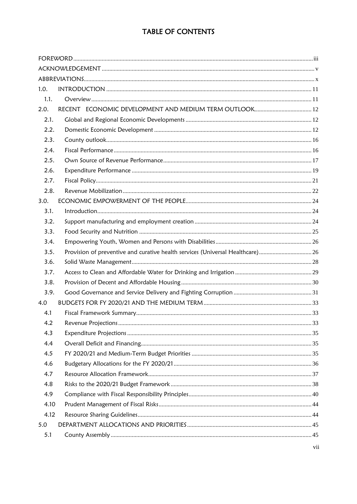# TABLE OF CONTENTS

| 1.0. |                                                                               |  |
|------|-------------------------------------------------------------------------------|--|
| 1.1. |                                                                               |  |
| 2.0. |                                                                               |  |
| 2.1. |                                                                               |  |
| 2.2. |                                                                               |  |
| 2.3. |                                                                               |  |
| 2.4. |                                                                               |  |
| 2.5. |                                                                               |  |
| 2.6. |                                                                               |  |
| 2.7. |                                                                               |  |
| 2.8. |                                                                               |  |
| 3.0. |                                                                               |  |
| 3.1. |                                                                               |  |
| 3.2. |                                                                               |  |
| 3.3. |                                                                               |  |
| 3.4. |                                                                               |  |
| 3.5. | Provision of preventive and curative health services (Universal Healthcare)26 |  |
| 3.6. |                                                                               |  |
| 3.7. |                                                                               |  |
| 3.8. |                                                                               |  |
| 3.9. |                                                                               |  |
| 4.0  |                                                                               |  |
| 4.1  |                                                                               |  |
| 4.2  |                                                                               |  |
| 4.3  |                                                                               |  |
| 4.4  |                                                                               |  |
| 4.5  |                                                                               |  |
| 4.6  |                                                                               |  |
| 4.7  |                                                                               |  |
| 4.8  |                                                                               |  |
| 4.9  |                                                                               |  |
| 4.10 |                                                                               |  |
| 4.12 |                                                                               |  |
| 5.0  |                                                                               |  |
| 5.1  |                                                                               |  |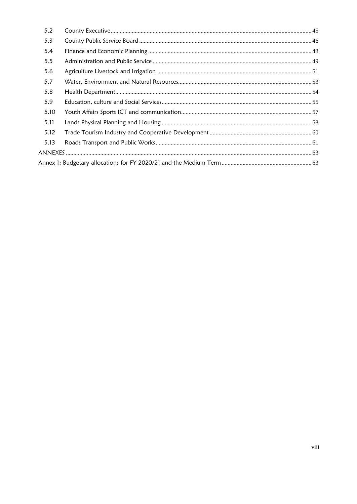| 5.2  |  |
|------|--|
| 5.3  |  |
| 5.4  |  |
| 5.5  |  |
| 5.6  |  |
| 5.7  |  |
| 5.8  |  |
| 5.9  |  |
| 5.10 |  |
| 5.11 |  |
| 5.12 |  |
| 5.13 |  |
|      |  |
|      |  |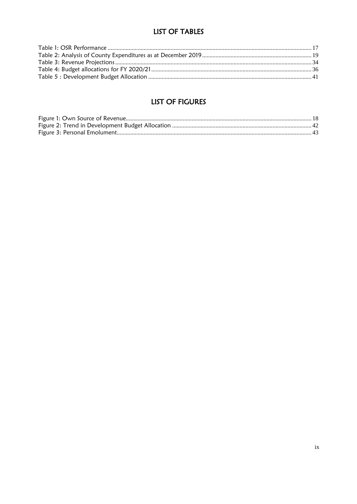# **LIST OF TABLES**

# **LIST OF FIGURES**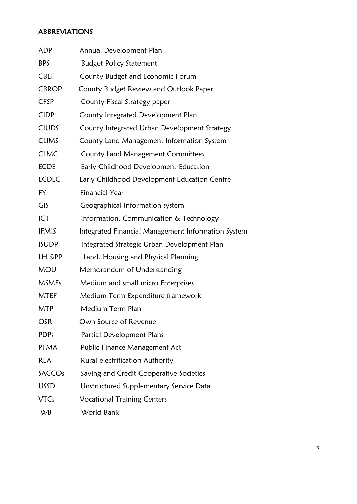# <span id="page-9-0"></span>ABBREVIATIONS

| ADP           | Annual Development Plan                            |
|---------------|----------------------------------------------------|
| <b>BPS</b>    | <b>Budget Policy Statement</b>                     |
| <b>CBEF</b>   | County Budget and Economic Forum                   |
| <b>CBROP</b>  | County Budget Review and Outlook Paper             |
| <b>CFSP</b>   | County Fiscal Strategy paper                       |
| <b>CIDP</b>   | County Integrated Development Plan                 |
| <b>CIUDS</b>  | County Integrated Urban Development Strategy       |
| <b>CLIMS</b>  | County Land Management Information System          |
| <b>CLMC</b>   | County Land Management Committees                  |
| <b>ECDE</b>   | Early Childhood Development Education              |
| <b>ECDEC</b>  | Early Childhood Development Education Centre       |
| FY            | <b>Financial Year</b>                              |
| GIS           | Geographical Information system                    |
| ICT           | Information, Communication & Technology            |
| <b>IFMIS</b>  | Integrated Financial Management Information System |
| <b>ISUDP</b>  | Integrated Strategic Urban Development Plan        |
| LH &PP        | Land, Housing and Physical Planning                |
| <b>MOU</b>    | Memorandum of Understanding                        |
| <b>MSMEs</b>  | Medium and small micro Enterprises                 |
| <b>MTEF</b>   | Medium Term Expenditure framework                  |
| MTP           | Medium Term Plan                                   |
| OSR           | Own Source of Revenue                              |
| <b>PDPs</b>   | Partial Development Plans                          |
| <b>PFMA</b>   | Public Finance Management Act                      |
| <b>REA</b>    | Rural electrification Authority                    |
| <b>SACCOs</b> | Saving and Credit Cooperative Societies            |
| <b>USSD</b>   | Unstructured Supplementary Service Data            |
| <b>VTCs</b>   | <b>Vocational Training Centers</b>                 |
| WB            | World Bank                                         |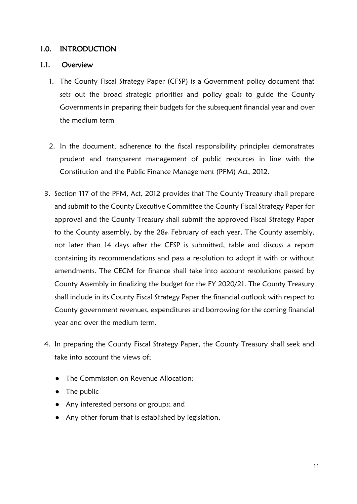## <span id="page-10-0"></span>1.0. INTRODUCTION

### <span id="page-10-1"></span>1.1. Overview

- 1. The County Fiscal Strategy Paper (CFSP) is a Government policy document that sets out the broad strategic priorities and policy goals to guide the County Governments in preparing their budgets for the subsequent financial year and over the medium term
- 2. In the document, adherence to the fiscal responsibility principles demonstrates prudent and transparent management of public resources in line with the Constitution and the Public Finance Management (PFM) Act, 2012.
- 3. Section 117 of the PFM, Act, 2012 provides that The County Treasury shall prepare and submit to the County Executive Committee the County Fiscal Strategy Paper for approval and the County Treasury shall submit the approved Fiscal Strategy Paper to the County assembly, by the  $28<sub>th</sub>$  February of each year. The County assembly, not later than 14 days after the CFSP is submitted, table and discuss a report containing its recommendations and pass a resolution to adopt it with or without amendments. The CECM for finance shall take into account resolutions passed by County Assembly in finalizing the budget for the FY 2020/21. The County Treasury shall include in its County Fiscal Strategy Paper the financial outlook with respect to County government revenues, expenditures and borrowing for the coming financial year and over the medium term.
- 4. In preparing the County Fiscal Strategy Paper, the County Treasury shall seek and take into account the views of;
	- The Commission on Revenue Allocation;
	- The public
	- Any interested persons or groups; and
	- Any other forum that is established by legislation.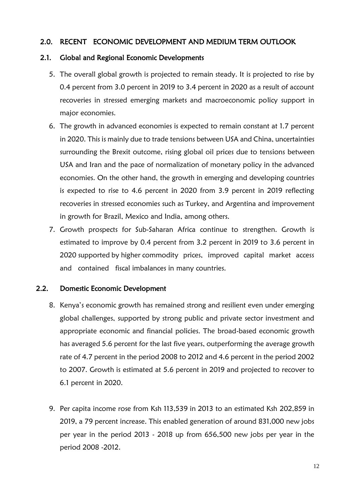## <span id="page-11-0"></span>2.0. RECENT ECONOMIC DEVELOPMENT AND MEDIUM TERM OUTLOOK

## <span id="page-11-1"></span>2.1. Global and Regional Economic Developments

- 5. The overall global growth is projected to remain steady. It is projected to rise by 0.4 percent from 3.0 percent in 2019 to 3.4 percent in 2020 as a result of account recoveries in stressed emerging markets and macroeconomic policy support in major economies.
- 6. The growth in advanced economies is expected to remain constant at 1.7 percent in 2020. This is mainly due to trade tensions between USA and China, uncertainties surrounding the Brexit outcome, rising global oil prices due to tensions between USA and Iran and the pace of normalization of monetary policy in the advanced economies. On the other hand, the growth in emerging and developing countries is expected to rise to 4.6 percent in 2020 from 3.9 percent in 2019 reflecting recoveries in stressed economies such as Turkey, and Argentina and improvement in growth for Brazil, Mexico and India, among others.
- 7. Growth prospects for Sub-Saharan Africa continue to strengthen. Growth is estimated to improve by 0.4 percent from 3.2 percent in 2019 to 3.6 percent in 2020 supported by higher commodity prices, improved capital market access and contained fiscal imbalances in many countries.

# <span id="page-11-2"></span>2.2. Domestic Economic Development

- 8. Kenya's economic growth has remained strong and resilient even under emerging global challenges, supported by strong public and private sector investment and appropriate economic and financial policies. The broad-based economic growth has averaged 5.6 percent for the last five years, outperforming the average growth rate of 4.7 percent in the period 2008 to 2012 and 4.6 percent in the period 2002 to 2007. Growth is estimated at 5.6 percent in 2019 and projected to recover to 6.1 percent in 2020.
- 9. Per capita income rose from Ksh 113,539 in 2013 to an estimated Ksh 202,859 in 2019, a 79 percent increase. This enabled generation of around 831,000 new jobs per year in the period 2013 - 2018 up from 656,500 new jobs per year in the period 2008 -2012.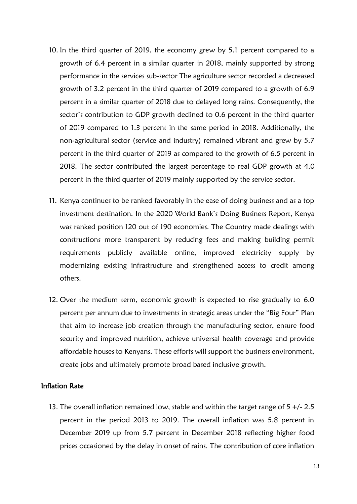- 10. In the third quarter of 2019, the economy grew by 5.1 percent compared to a growth of 6.4 percent in a similar quarter in 2018, mainly supported by strong performance in the services sub-sector The agriculture sector recorded a decreased growth of 3.2 percent in the third quarter of 2019 compared to a growth of 6.9 percent in a similar quarter of 2018 due to delayed long rains. Consequently, the sector's contribution to GDP growth declined to 0.6 percent in the third quarter of 2019 compared to 1.3 percent in the same period in 2018. Additionally, the non-agricultural sector (service and industry) remained vibrant and grew by 5.7 percent in the third quarter of 2019 as compared to the growth of 6.5 percent in 2018. The sector contributed the largest percentage to real GDP growth at 4.0 percent in the third quarter of 2019 mainly supported by the service sector.
- 11. Kenya continues to be ranked favorably in the ease of doing business and as a top investment destination. In the 2020 World Bank's Doing Business Report, Kenya was ranked position 120 out of 190 economies. The Country made dealings with constructions more transparent by reducing fees and making building permit requirements publicly available online, improved electricity supply by modernizing existing infrastructure and strengthened access to credit among others.
- 12. Over the medium term, economic growth is expected to rise gradually to 6.0 percent per annum due to investments in strategic areas under the "Big Four" Plan that aim to increase job creation through the manufacturing sector, ensure food security and improved nutrition, achieve universal health coverage and provide affordable houses to Kenyans. These efforts will support the business environment, create jobs and ultimately promote broad based inclusive growth.

### Inflation Rate

13. The overall inflation remained low, stable and within the target range of  $5 +/- 2.5$ percent in the period 2013 to 2019. The overall inflation was 5.8 percent in December 2019 up from 5.7 percent in December 2018 reflecting higher food prices occasioned by the delay in onset of rains. The contribution of core inflation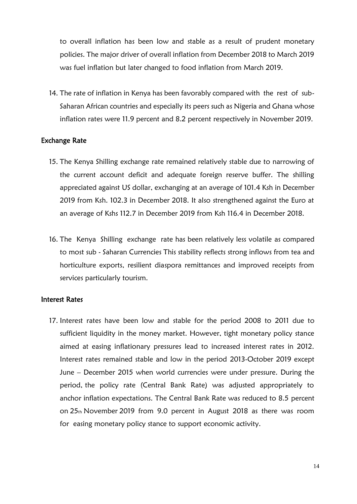to overall inflation has been low and stable as a result of prudent monetary policies. The major driver of overall inflation from December 2018 to March 2019 was fuel inflation but later changed to food inflation from March 2019.

14. The rate of inflation in Kenya has been favorably compared with the rest of sub-Saharan African countries and especially its peers such as Nigeria and Ghana whose inflation rates were 11.9 percent and 8.2 percent respectively in November 2019.

### Exchange Rate

- 15. The Kenya Shilling exchange rate remained relatively stable due to narrowing of the current account deficit and adequate foreign reserve buffer. The shilling appreciated against US dollar, exchanging at an average of 101.4 Ksh in December 2019 from Ksh. 102.3 in December 2018. It also strengthened against the Euro at an average of Kshs 112.7 in December 2019 from Ksh 116.4 in December 2018.
- 16. The Kenya Shilling exchange rate has been relatively less volatile as compared to most sub - Saharan Currencies This stability reflects strong inflows from tea and horticulture exports, resilient diaspora remittances and improved receipts from services particularly tourism.

### Interest Rates

17. Interest rates have been low and stable for the period 2008 to 2011 due to sufficient liquidity in the money market. However, tight monetary policy stance aimed at easing inflationary pressures lead to increased interest rates in 2012. Interest rates remained stable and low in the period 2013-October 2019 except June – December 2015 when world currencies were under pressure. During the period, the policy rate (Central Bank Rate) was adjusted appropriately to anchor inflation expectations. The Central Bank Rate was reduced to 8.5 percent on 25th November 2019 from 9.0 percent in August 2018 as there was room for easing monetary policy stance to support economic activity.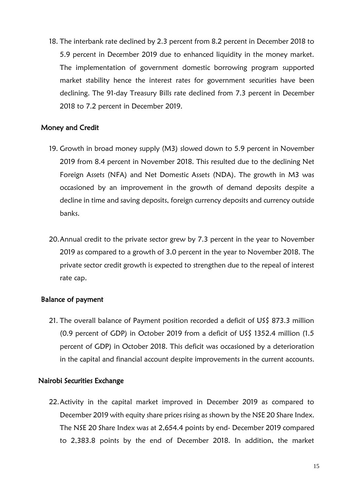18. The interbank rate declined by 2.3 percent from 8.2 percent in December 2018 to 5.9 percent in December 2019 due to enhanced liquidity in the money market. The implementation of government domestic borrowing program supported market stability hence the interest rates for government securities have been declining. The 91-day Treasury Bills rate declined from 7.3 percent in December 2018 to 7.2 percent in December 2019.

### Money and Credit

- 19. Growth in broad money supply (M3) slowed down to 5.9 percent in November 2019 from 8.4 percent in November 2018. This resulted due to the declining Net Foreign Assets (NFA) and Net Domestic Assets (NDA). The growth in M3 was occasioned by an improvement in the growth of demand deposits despite a decline in time and saving deposits, foreign currency deposits and currency outside banks.
- 20.Annual credit to the private sector grew by 7.3 percent in the year to November 2019 as compared to a growth of 3.0 percent in the year to November 2018. The private sector credit growth is expected to strengthen due to the repeal of interest rate cap.

### Balance of payment

21. The overall balance of Payment position recorded a deficit of US\$ 873.3 million (0.9 percent of GDP) in October 2019 from a deficit of US\$ 1352.4 million (1.5 percent of GDP) in October 2018. This deficit was occasioned by a deterioration in the capital and financial account despite improvements in the current accounts.

### Nairobi Securities Exchange

22.Activity in the capital market improved in December 2019 as compared to December 2019 with equity share prices rising as shown by the NSE 20 Share Index. The NSE 20 Share Index was at 2,654.4 points by end- December 2019 compared to 2,383.8 points by the end of December 2018. In addition, the market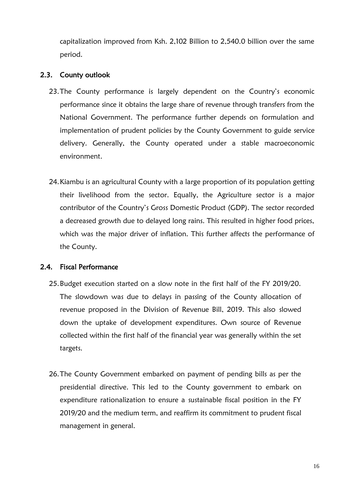capitalization improved from Ksh. 2,102 Billion to 2,540.0 billion over the same period.

## <span id="page-15-0"></span>2.3. County outlook

- 23.The County performance is largely dependent on the Country's economic performance since it obtains the large share of revenue through transfers from the National Government. The performance further depends on formulation and implementation of prudent policies by the County Government to guide service delivery. Generally, the County operated under a stable macroeconomic environment.
- 24.Kiambu is an agricultural County with a large proportion of its population getting their livelihood from the sector. Equally, the Agriculture sector is a major contributor of the Country's Gross Domestic Product (GDP). The sector recorded a decreased growth due to delayed long rains. This resulted in higher food prices, which was the major driver of inflation. This further affects the performance of the County.

# <span id="page-15-1"></span>2.4. Fiscal Performance

- 25.Budget execution started on a slow note in the first half of the FY 2019/20. The slowdown was due to delays in passing of the County allocation of revenue proposed in the Division of Revenue Bill, 2019. This also slowed down the uptake of development expenditures. Own source of Revenue collected within the first half of the financial year was generally within the set targets.
- 26.The County Government embarked on payment of pending bills as per the presidential directive. This led to the County government to embark on expenditure rationalization to ensure a sustainable fiscal position in the FY 2019/20 and the medium term, and reaffirm its commitment to prudent fiscal management in general.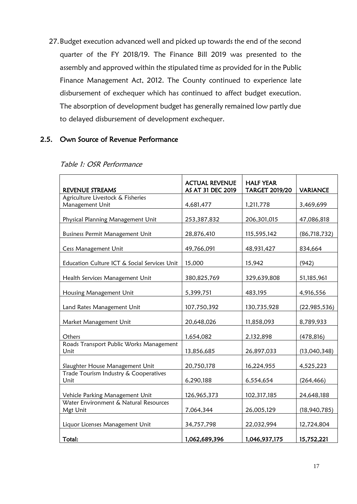27.Budget execution advanced well and picked up towards the end of the second quarter of the FY 2018/19. The Finance Bill 2019 was presented to the assembly and approved within the stipulated time as provided for in the Public Finance Management Act, 2012. The County continued to experience late disbursement of exchequer which has continued to affect budget execution. The absorption of development budget has generally remained low partly due to delayed disbursement of development exchequer.

## <span id="page-16-0"></span>2.5. Own Source of Revenue Performance

| <b>REVENUE STREAMS</b>                       | <b>ACTUAL REVENUE</b><br>AS AT 31 DEC 2019 | <b>HALF YEAR</b><br><b>TARGET 2019/20</b> | <b>VARIANCE</b> |  |
|----------------------------------------------|--------------------------------------------|-------------------------------------------|-----------------|--|
| Agriculture Livestock & Fisheries            |                                            |                                           |                 |  |
| Management Unit                              | 4,681,477                                  | 1,211,778                                 | 3,469,699       |  |
|                                              |                                            |                                           |                 |  |
| Physical Planning Management Unit            | 253,387,832                                | 206,301,015                               | 47,086,818      |  |
|                                              |                                            |                                           |                 |  |
| <b>Business Permit Management Unit</b>       | 28,876,410                                 | 115,595,142                               | (86, 718, 732)  |  |
|                                              |                                            |                                           |                 |  |
| Cess Management Unit                         | 49,766,091                                 | 48,931,427                                | 834,664         |  |
|                                              |                                            |                                           |                 |  |
| Education Culture ICT & Social Services Unit | 15,000                                     | 15,942                                    | (942)           |  |
|                                              |                                            |                                           |                 |  |
| Health Services Management Unit              | 380,825,769                                | 329,639,808                               | 51,185,961      |  |
|                                              |                                            |                                           |                 |  |
| Housing Management Unit                      | 5,399,751                                  | 483,195                                   | 4,916,556       |  |
|                                              |                                            |                                           |                 |  |
| Land Rates Management Unit                   | 107,750,392                                | 130,735,928                               | (22, 985, 536)  |  |
|                                              |                                            |                                           |                 |  |
| Market Management Unit                       | 20,648,026                                 | 11,858,093                                | 8,789,933       |  |
|                                              |                                            |                                           |                 |  |
| Others                                       | 1,654,082                                  | 2,132,898                                 | (478, 816)      |  |
| Roads Transport Public Works Management      |                                            |                                           |                 |  |
| Unit                                         | 13,856,685                                 | 26,897,033                                | (13,040,348)    |  |
|                                              |                                            |                                           |                 |  |
| Slaughter House Management Unit              | 20,750,178                                 | 16,224,955                                | 4,525,223       |  |
| Trade Tourism Industry & Cooperatives        |                                            |                                           |                 |  |
| Unit                                         | 6,290,188                                  | 6,554,654                                 | (264, 466)      |  |
|                                              |                                            |                                           |                 |  |
| Vehicle Parking Management Unit              | 126,965,373                                | 102,317,185                               | 24,648,188      |  |
| Water Environment & Natural Resources        |                                            |                                           |                 |  |
| Mgt Unit                                     | 7,064,344                                  | 26,005,129                                | (18,940,785)    |  |
|                                              |                                            |                                           |                 |  |
| Liquor Licenses Management Unit              | 34,757,798                                 | 22,032,994                                | 12,724,804      |  |
| Total:                                       | 1,062,689,396                              | 1,046,937,175                             | 15,752,221      |  |

### <span id="page-16-1"></span>Table 1: OSR Performance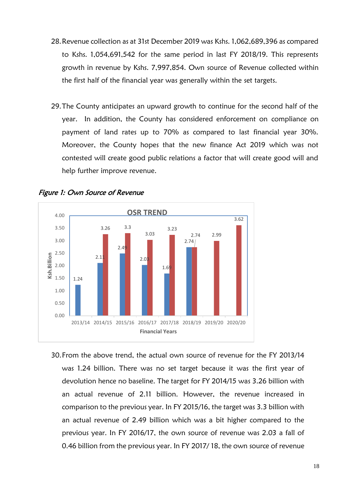- 28.Revenue collection as at 31st December 2019 was Kshs. 1,062,689,396 as compared to Kshs. 1,054,691,542 for the same period in last FY 2018/19. This represents growth in revenue by Kshs. 7,997,854. Own source of Revenue collected within the first half of the financial year was generally within the set targets.
- 29.The County anticipates an upward growth to continue for the second half of the year. In addition, the County has considered enforcement on compliance on payment of land rates up to 70% as compared to last financial year 30%. Moreover, the County hopes that the new finance Act 2019 which was not contested will create good public relations a factor that will create good will and help further improve revenue.



<span id="page-17-0"></span>

30.From the above trend, the actual own source of revenue for the FY 2013/14 was 1.24 billion. There was no set target because it was the first year of devolution hence no baseline. The target for FY 2014/15 was 3.26 billion with an actual revenue of 2.11 billion. However, the revenue increased in comparison to the previous year. In FY 2015/16, the target was 3.3 billion with an actual revenue of 2.49 billion which was a bit higher compared to the previous year. In FY 2016/17, the own source of revenue was 2.03 a fall of 0.46 billion from the previous year. In FY 2017/ 18, the own source of revenue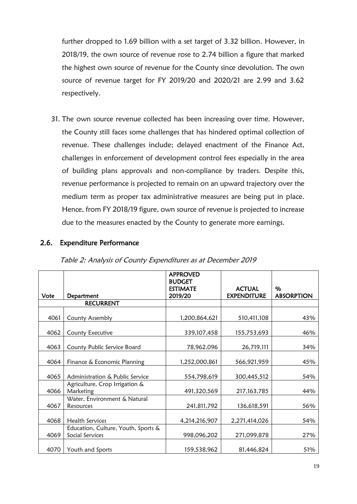further dropped to 1.69 billion with a set target of 3.32 billion. However, in 2018/19, the own source of revenue rose to 2.74 billion a figure that marked the highest own source of revenue for the County since devolution. The own source of revenue target for FY 2019/20 and 2020/21 are 2.99 and 3.62 respectively.

31. The own source revenue collected has been increasing over time. However, the County still faces some challenges that has hindered optimal collection of revenue. These challenges include; delayed enactment of the Finance Act, challenges in enforcement of development control fees especially in the area of building plans approvals and non-compliance by traders. Despite this, revenue performance is projected to remain on an upward trajectory over the medium term as proper tax administrative measures are being put in place. Hence, from FY 2018/19 figure, own source of revenue is projected to increase due to the measures enacted by the County to generate more earnings.

# <span id="page-18-0"></span>2.6. Expenditure Performance

<span id="page-18-1"></span>

|      |                                                        | <b>APPROVED</b><br><b>BUDGET</b><br><b>ESTIMATE</b> | <b>ACTUAL</b>      | %                 |
|------|--------------------------------------------------------|-----------------------------------------------------|--------------------|-------------------|
| Vote | Department                                             | 2019/20                                             | <b>EXPENDITURE</b> | <b>ABSORPTION</b> |
|      | <b>RECURRENT</b>                                       |                                                     |                    |                   |
| 4061 | County Assembly                                        | 1,200,864,621                                       | 510,411,108        | 43%               |
| 4062 | County Executive                                       | 339, 107, 458                                       | 155,753,693        | 46%               |
| 4063 | County Public Service Board                            | 78,962,096                                          | 26,719,111         | 34%               |
| 4064 | Finance & Economic Planning                            | 1,252,000,861                                       | 566,921,959        | 45%               |
| 4065 | Administration & Public Service                        | 554,798,619                                         | 300,445,512        | 54%               |
| 4066 | Agriculture, Crop Irrigation &<br>Marketing            | 491,320,569                                         | 217, 163, 785      | 44%               |
| 4067 | Water, Environment & Natural<br>Resources              | 241,811,792                                         | 136,618,591        | 56%               |
| 4068 | <b>Health Services</b>                                 | 4,214,216,907                                       | 2,271,414,026      | 54%               |
| 4069 | Education, Culture, Youth, Sports &<br>Social Services | 998,096,202                                         | 271,099,878        | 27%               |
| 4070 | Youth and Sports                                       | 159,538,962                                         | 81,446,824         | 51%               |

Table 2: Analysis of County Expenditures as at December 2019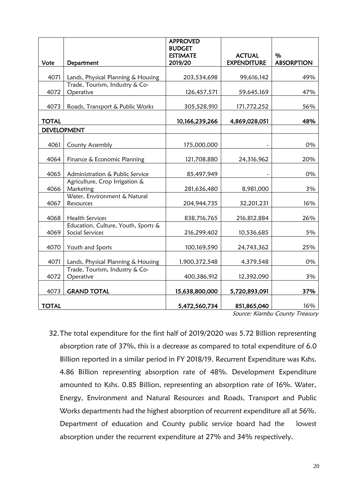|                    |                                                        | <b>APPROVED</b><br><b>BUDGET</b> |                    |                   |
|--------------------|--------------------------------------------------------|----------------------------------|--------------------|-------------------|
|                    |                                                        | <b>ESTIMATE</b>                  | <b>ACTUAL</b>      | $\%$              |
| Vote               | Department                                             | 2019/20                          | <b>EXPENDITURE</b> | <b>ABSORPTION</b> |
| 4071               | Lands, Physical Planning & Housing                     | 203,534,698                      | 99,616,142         | 49%               |
| 4072               | Trade, Tourism, Industry & Co-<br>Operative            |                                  |                    |                   |
|                    |                                                        | 126,457,571                      | 59,645,169         | 47%               |
| 4073               | Roads, Transport & Public Works                        | 305,528,910                      | 171,772,252        | 56%               |
| <b>TOTAL</b>       |                                                        | 10,166,239,266                   | 4,869,028,051      | 48%               |
| <b>DEVELOPMENT</b> |                                                        |                                  |                    |                   |
| 4061               | County Assembly                                        | 175,000,000                      |                    | 0%                |
| 4064               | Finance & Economic Planning                            | 121,708,880                      | 24,316,962         | 20%               |
| 4065               | Administration & Public Service                        | 85,497,949                       |                    | 0%                |
| 4066               | Agriculture, Crop Irrigation &<br>Marketing            | 281,636,480                      | 8,981,000          | 3%                |
|                    | Water, Environment & Natural                           |                                  |                    |                   |
| 4067               | Resources                                              | 204,944,735                      | 32,201,231         | 16%               |
| 4068               | <b>Health Services</b>                                 | 838,716,765                      | 216,812,884        | 26%               |
| 4069               | Education, Culture, Youth, Sports &<br>Social Services | 216,299,402                      | 10,536,685         | 5%                |
| 4070               | Youth and Sports                                       | 100,169,590                      | 24,743,362         | 25%               |
| 4071               | Lands, Physical Planning & Housing                     | 1,900,372,548                    | 4,379,548          | 0%                |
| 4072               | Trade, Tourism, Industry & Co-<br>Operative            | 400,386,912                      | 12,392,090         | 3%                |
|                    |                                                        |                                  |                    |                   |
| 4073               | <b>GRAND TOTAL</b>                                     | 15,638,800,000                   | 5,720,893,091      | 37%               |
| <b>TOTAL</b>       |                                                        | 5,472,560,734                    | 851,865,040        | 16%               |

Source: Kiambu County Treasury

32.The total expenditure for the first half of 2019/2020 was 5.72 Billion representing absorption rate of 37%, this is a decrease as compared to total expenditure of 6.0 Billion reported in a similar period in FY 2018/19. Recurrent Expenditure was Kshs. 4.86 Billion representing absorption rate of 48%. Development Expenditure amounted to Kshs. 0.85 Billion, representing an absorption rate of 16%. Water, Energy, Environment and Natural Resources and Roads, Transport and Public Works departments had the highest absorption of recurrent expenditure all at 56%. Department of education and County public service board had the lowest absorption under the recurrent expenditure at 27% and 34% respectively.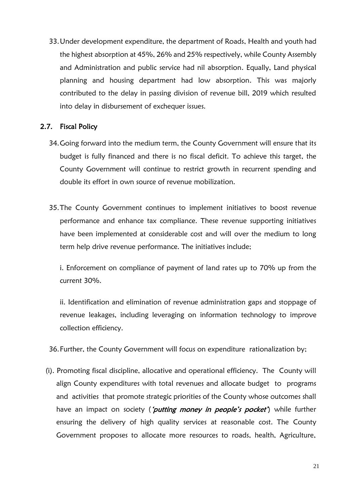33.Under development expenditure, the department of Roads, Health and youth had the highest absorption at 45%, 26% and 25% respectively, while County Assembly and Administration and public service had nil absorption. Equally, Land physical planning and housing department had low absorption. This was majorly contributed to the delay in passing division of revenue bill, 2019 which resulted into delay in disbursement of exchequer issues.

## <span id="page-20-0"></span>2.7. Fiscal Policy

- 34.Going forward into the medium term, the County Government will ensure that its budget is fully financed and there is no fiscal deficit. To achieve this target, the County Government will continue to restrict growth in recurrent spending and double its effort in own source of revenue mobilization.
- 35.The County Government continues to implement initiatives to boost revenue performance and enhance tax compliance. These revenue supporting initiatives have been implemented at considerable cost and will over the medium to long term help drive revenue performance. The initiatives include;

i. Enforcement on compliance of payment of land rates up to 70% up from the current 30%.

ii. Identification and elimination of revenue administration gaps and stoppage of revenue leakages, including leveraging on information technology to improve collection efficiency.

36.Further, the County Government will focus on expenditure rationalization by;

(i). Promoting fiscal discipline, allocative and operational efficiency. The County will align County expenditures with total revenues and allocate budget to programs and activities that promote strategic priorities of the County whose outcomes shall have an impact on society ('*putting money in people's pocket*') while further ensuring the delivery of high quality services at reasonable cost. The County Government proposes to allocate more resources to roads, health, Agriculture,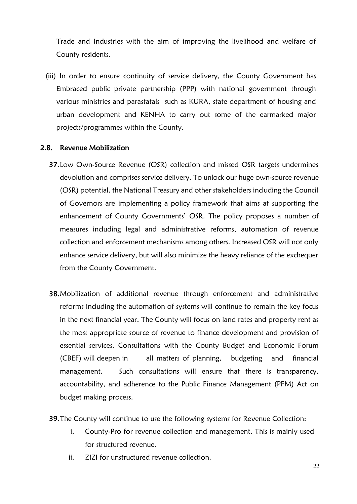Trade and Industries with the aim of improving the livelihood and welfare of County residents.

(iii) In order to ensure continuity of service delivery, the County Government has Embraced public private partnership (PPP) with national government through various ministries and parastatals such as KURA, state department of housing and urban development and KENHA to carry out some of the earmarked major projects/programmes within the County.

### <span id="page-21-0"></span>2.8. Revenue Mobilization

- 37.Low Own-Source Revenue (OSR) collection and missed OSR targets undermines devolution and comprises service delivery. To unlock our huge own-source revenue (OSR) potential, the National Treasury and other stakeholders including the Council of Governors are implementing a policy framework that aims at supporting the enhancement of County Governments' OSR. The policy proposes a number of measures including legal and administrative reforms, automation of revenue collection and enforcement mechanisms among others. Increased OSR will not only enhance service delivery, but will also minimize the heavy reliance of the exchequer from the County Government.
- 38.Mobilization of additional revenue through enforcement and administrative reforms including the automation of systems will continue to remain the key focus in the next financial year. The County will focus on land rates and property rent as the most appropriate source of revenue to finance development and provision of essential services. Consultations with the County Budget and Economic Forum (CBEF) will deepen in all matters of planning, budgeting and financial management. Such consultations will ensure that there is transparency, accountability, and adherence to the Public Finance Management (PFM) Act on budget making process.
- 39.The County will continue to use the following systems for Revenue Collection:
	- i. County-Pro for revenue collection and management. This is mainly used for structured revenue.
	- ii. ZIZI for unstructured revenue collection.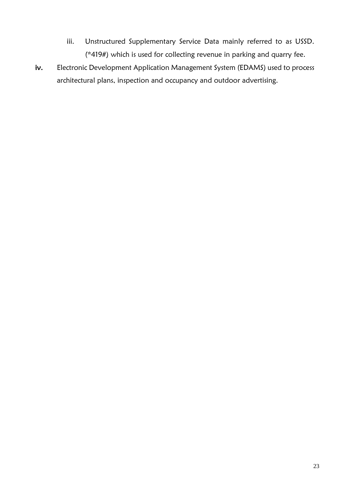- iii. Unstructured Supplementary Service Data mainly referred to as USSD. (\*419#) which is used for collecting revenue in parking and quarry fee.
- iv. Electronic Development Application Management System (EDAMS) used to process architectural plans, inspection and occupancy and outdoor advertising.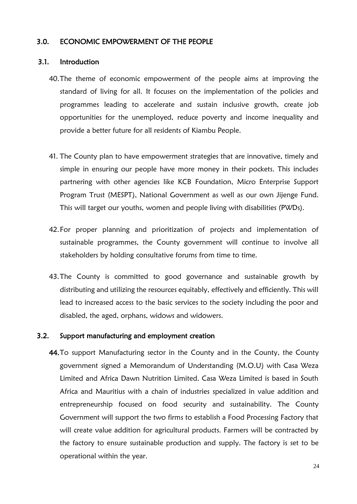### <span id="page-23-0"></span>3.0. ECONOMIC EMPOWERMENT OF THE PEOPLE

### <span id="page-23-1"></span>3.1. Introduction

- 40.The theme of economic empowerment of the people aims at improving the standard of living for all. It focuses on the implementation of the policies and programmes leading to accelerate and sustain inclusive growth, create job opportunities for the unemployed, reduce poverty and income inequality and provide a better future for all residents of Kiambu People.
- 41. The County plan to have empowerment strategies that are innovative, timely and simple in ensuring our people have more money in their pockets. This includes partnering with other agencies like KCB Foundation, Micro Enterprise Support Program Trust (MESPT), National Government as well as our own Jijenge Fund. This will target our youths, women and people living with disabilities (PWDs).
- 42.For proper planning and prioritization of projects and implementation of sustainable programmes, the County government will continue to involve all stakeholders by holding consultative forums from time to time.
- 43.The County is committed to good governance and sustainable growth by distributing and utilizing the resources equitably, effectively and efficiently. This will lead to increased access to the basic services to the society including the poor and disabled, the aged, orphans, widows and widowers.

### <span id="page-23-2"></span>3.2. Support manufacturing and employment creation

44.To support Manufacturing sector in the County and in the County, the County government signed a Memorandum of Understanding (M.O.U) with Casa Weza Limited and Africa Dawn Nutrition Limited. Casa Weza Limited is based in South Africa and Mauritius with a chain of industries specialized in value addition and entrepreneurship focused on food security and sustainability. The County Government will support the two firms to establish a Food Processing Factory that will create value addition for agricultural products. Farmers will be contracted by the factory to ensure sustainable production and supply. The factory is set to be operational within the year.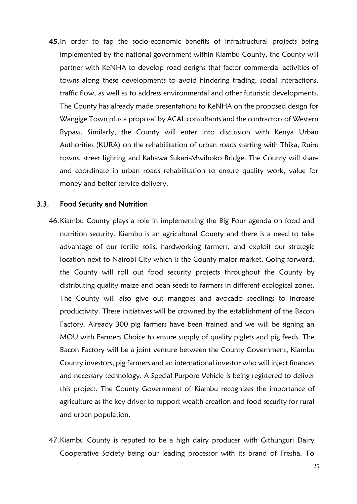45.In order to tap the socio-economic benefits of infrastructural projects being implemented by the national government within Kiambu County, the County will partner with KeNHA to develop road designs that factor commercial activities of towns along these developments to avoid hindering trading, social interactions, traffic flow, as well as to address environmental and other futuristic developments. The County has already made presentations to KeNHA on the proposed design for Wangige Town plus a proposal by ACAL consultants and the contractors of Western Bypass. Similarly, the County will enter into discussion with Kenya Urban Authorities (KURA) on the rehabilitation of urban roads starting with Thika, Ruiru towns, street lighting and Kahawa Sukari-Mwihoko Bridge. The County will share and coordinate in urban roads rehabilitation to ensure quality work, value for money and better service delivery.

### <span id="page-24-0"></span>3.3. Food Security and Nutrition

- 46.Kiambu County plays a role in implementing the Big Four agenda on food and nutrition security. Kiambu is an agricultural County and there is a need to take advantage of our fertile soils, hardworking farmers, and exploit our strategic location next to Nairobi City which is the County major market. Going forward, the County will roll out food security projects throughout the County by distributing quality maize and bean seeds to farmers in different ecological zones. The County will also give out mangoes and avocado seedlings to increase productivity. These initiatives will be crowned by the establishment of the Bacon Factory. Already 300 pig farmers have been trained and we will be signing an MOU with Farmers Choice to ensure supply of quality piglets and pig feeds. The Bacon Factory will be a joint venture between the County Government, Kiambu County investors, pig farmers and an international investor who will inject finances and necessary technology. A Special Purpose Vehicle is being registered to deliver this project. The County Government of Kiambu recognizes the importance of agriculture as the key driver to support wealth creation and food security for rural and urban population.
- 47.Kiambu County is reputed to be a high dairy producer with Githunguri Dairy Cooperative Society being our leading processor with its brand of Fresha. To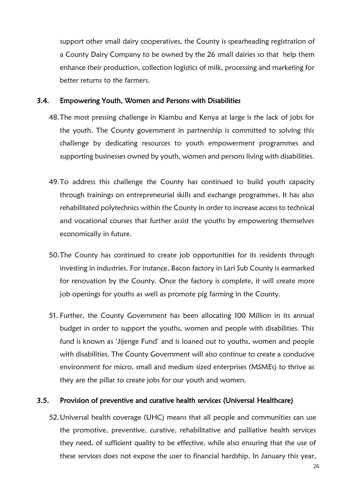support other small dairy cooperatives, the County is spearheading registration of a County Dairy Company to be owned by the 26 small dairies so that help them enhance their production, collection logistics of milk, processing and marketing for better returns to the farmers.

## <span id="page-25-0"></span>3.4. Empowering Youth, Women and Persons with Disabilities

- 48.The most pressing challenge in Kiambu and Kenya at large is the lack of jobs for the youth. The County government in partnership is committed to solving this challenge by dedicating resources to youth empowerment programmes and supporting businesses owned by youth, women and persons living with disabilities.
- 49.To address this challenge the County has continued to build youth capacity through trainings on entrepreneurial skills and exchange programmes. It has also rehabilitated polytechnics within the County in order to increase access to technical and vocational courses that further assist the youths by empowering themselves economically in future.
- 50.The County has continued to create job opportunities for its residents through investing in industries. For instance, Bacon factory in Lari Sub County is earmarked for renovation by the County. Once the factory is complete, it will create more job openings for youths as well as promote pig farming in the County.
- 51. Further, the County Government has been allocating 100 Million in its annual budget in order to support the youths, women and people with disabilities. This fund is known as 'Jijenge Fund' and is loaned out to youths, women and people with disabilities. The County Government will also continue to create a conducive environment for micro, small and medium sized enterprises (MSMEs) to thrive as they are the pillar to create jobs for our youth and women.

# <span id="page-25-1"></span>3.5. Provision of preventive and curative health services (Universal Healthcare)

52.Universal health coverage (UHC) means that all people and communities can use the promotive, preventive, curative, rehabilitative and palliative health services they need, of sufficient quality to be effective, while also ensuring that the use of these services does not expose the user to financial hardship. In January this year,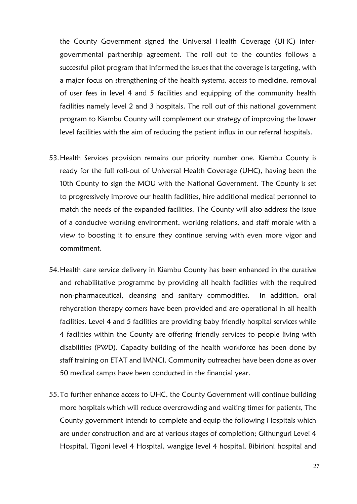the County Government signed the Universal Health Coverage (UHC) intergovernmental partnership agreement. The roll out to the counties follows a successful pilot program that informed the issues that the coverage is targeting, with a major focus on strengthening of the health systems, access to medicine, removal of user fees in level 4 and 5 facilities and equipping of the community health facilities namely level 2 and 3 hospitals. The roll out of this national government program to Kiambu County will complement our strategy of improving the lower level facilities with the aim of reducing the patient influx in our referral hospitals.

- 53.Health Services provision remains our priority number one. Kiambu County is ready for the full roll-out of Universal Health Coverage (UHC), having been the 10th County to sign the MOU with the National Government. The County is set to progressively improve our health facilities, hire additional medical personnel to match the needs of the expanded facilities. The County will also address the issue of a conducive working environment, working relations, and staff morale with a view to boosting it to ensure they continue serving with even more vigor and commitment.
- 54.Health care service delivery in Kiambu County has been enhanced in the curative and rehabilitative programme by providing all health facilities with the required non-pharmaceutical, cleansing and sanitary commodities. In addition, oral rehydration therapy corners have been provided and are operational in all health facilities. Level 4 and 5 facilities are providing baby friendly hospital services while 4 facilities within the County are offering friendly services to people living with disabilities (PWD). Capacity building of the health workforce has been done by staff training on ETAT and IMNCI. Community outreaches have been done as over 50 medical camps have been conducted in the financial year.
- 55.To further enhance access to UHC, the County Government will continue building more hospitals which will reduce overcrowding and waiting times for patients, The County government intends to complete and equip the following Hospitals which are under construction and are at various stages of completion; Githunguri Level 4 Hospital, Tigoni level 4 Hospital, wangige level 4 hospital, Bibirioni hospital and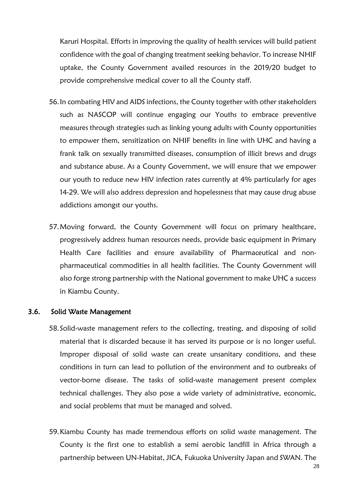Karuri Hospital. Efforts in improving the quality of health services will build patient confidence with the goal of changing treatment seeking behavior. To increase NHIF uptake, the County Government availed resources in the 2019/20 budget to provide comprehensive medical cover to all the County staff.

- 56.In combating HIV and AIDS infections, the County together with other stakeholders such as NASCOP will continue engaging our Youths to embrace preventive measures through strategies such as linking young adults with County opportunities to empower them, sensitization on NHIF benefits in line with UHC and having a frank talk on sexually transmitted diseases, consumption of illicit brews and drugs and substance abuse. As a County Government, we will ensure that we empower our youth to reduce new HIV infection rates currently at 4% particularly for ages 14-29. We will also address depression and hopelessness that may cause drug abuse addictions amongst our youths.
- 57.Moving forward, the County Government will focus on primary healthcare, progressively address human resources needs, provide basic equipment in Primary Health Care facilities and ensure availability of Pharmaceutical and nonpharmaceutical commodities in all health facilities. The County Government will also forge strong partnership with the National government to make UHC a success in Kiambu County.

### <span id="page-27-0"></span>3.6. Solid Waste Management

- 58.Solid-waste management refers to the collecting, treating, and disposing of solid material that is discarded because it has served its purpose or is no longer useful. Improper disposal of solid waste can create unsanitary conditions, and these conditions in turn can lead to pollution of the environment and to outbreaks of vector-borne disease. The tasks of solid-waste management present complex technical challenges. They also pose a wide variety of administrative, economic, and social problems that must be managed and solved.
- 59.Kiambu County has made tremendous efforts on solid waste management. The County is the first one to establish a semi aerobic landfill in Africa through a partnership between UN-Habitat, JICA, Fukuoka University Japan and SWAN. The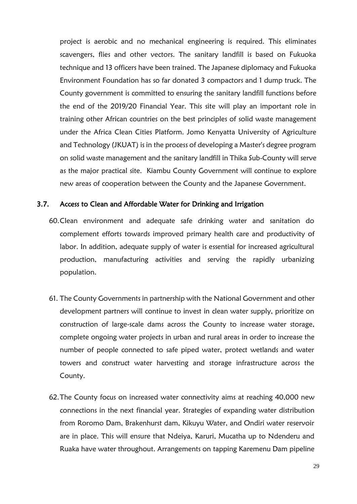project is aerobic and no mechanical engineering is required. This eliminates scavengers, flies and other vectors. The sanitary landfill is based on Fukuoka technique and 13 officers have been trained. The Japanese diplomacy and Fukuoka Environment Foundation has so far donated 3 compactors and 1 dump truck. The County government is committed to ensuring the sanitary landfill functions before the end of the 2019/20 Financial Year. This site will play an important role in training other African countries on the best principles of solid waste management under the Africa Clean Cities Platform. Jomo Kenyatta University of Agriculture and Technology (JKUAT) is in the process of developing a Master's degree program on solid waste management and the sanitary landfill in Thika Sub-County will serve as the major practical site. Kiambu County Government will continue to explore new areas of cooperation between the County and the Japanese Government.

### <span id="page-28-0"></span>3.7. Access to Clean and Affordable Water for Drinking and Irrigation

- 60.Clean environment and adequate safe drinking water and sanitation do complement efforts towards improved primary health care and productivity of labor. In addition, adequate supply of water is essential for increased agricultural production, manufacturing activities and serving the rapidly urbanizing population.
- 61. The County Governments in partnership with the National Government and other development partners will continue to invest in clean water supply, prioritize on construction of large-scale dams across the County to increase water storage, complete ongoing water projects in urban and rural areas in order to increase the number of people connected to safe piped water, protect wetlands and water towers and construct water harvesting and storage infrastructure across the County.
- 62.The County focus on increased water connectivity aims at reaching 40,000 new connections in the next financial year. Strategies of expanding water distribution from Roromo Dam, Brakenhurst dam, Kikuyu Water, and Ondiri water reservoir are in place. This will ensure that Ndeiya, Karuri, Mucatha up to Ndenderu and Ruaka have water throughout. Arrangements on tapping Karemenu Dam pipeline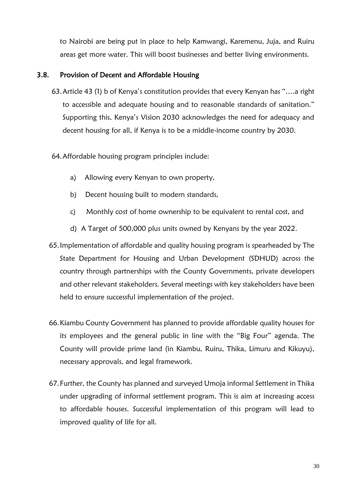to Nairobi are being put in place to help Kamwangi, Karemenu, Juja, and Ruiru areas get more water. This will boost businesses and better living environments.

## <span id="page-29-0"></span>3.8. Provision of Decent and Affordable Housing

- 63.Article 43 (1) b of Kenya's constitution provides that every Kenyan has "….a right to accessible and adequate housing and to reasonable standards of sanitation." Supporting this, Kenya's Vision 2030 acknowledges the need for adequacy and decent housing for all, if Kenya is to be a middle-income country by 2030.
- 64.Affordable housing program principles include:
	- a) Allowing every Kenyan to own property,
	- b) Decent housing built to modern standards,
	- c) Monthly cost of home ownership to be equivalent to rental cost, and
	- d) A Target of 500,000 plus units owned by Kenyans by the year 2022.
- 65.Implementation of affordable and quality housing program is spearheaded by The State Department for Housing and Urban Development (SDHUD) across the country through partnerships with the County Governments, private developers and other relevant stakeholders. Several meetings with key stakeholders have been held to ensure successful implementation of the project.
- 66.Kiambu County Government has planned to provide affordable quality houses for its employees and the general public in line with the "Big Four" agenda. The County will provide prime land (in Kiambu, Ruiru, Thika, Limuru and Kikuyu), necessary approvals, and legal framework.
- 67.Further, the County has planned and surveyed Umoja informal Settlement in Thika under upgrading of informal settlement program. This is aim at increasing access to affordable houses. Successful implementation of this program will lead to improved quality of life for all.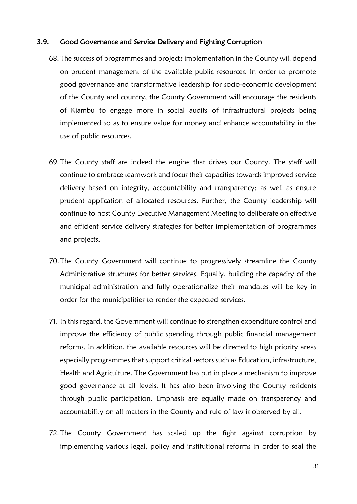### <span id="page-30-0"></span>3.9. Good Governance and Service Delivery and Fighting Corruption

- 68.The success of programmes and projects implementation in the County will depend on prudent management of the available public resources. In order to promote good governance and transformative leadership for socio-economic development of the County and country, the County Government will encourage the residents of Kiambu to engage more in social audits of infrastructural projects being implemented so as to ensure value for money and enhance accountability in the use of public resources.
- 69.The County staff are indeed the engine that drives our County. The staff will continue to embrace teamwork and focus their capacities towards improved service delivery based on integrity, accountability and transparency; as well as ensure prudent application of allocated resources. Further, the County leadership will continue to host County Executive Management Meeting to deliberate on effective and efficient service delivery strategies for better implementation of programmes and projects.
- 70.The County Government will continue to progressively streamline the County Administrative structures for better services. Equally, building the capacity of the municipal administration and fully operationalize their mandates will be key in order for the municipalities to render the expected services.
- 71. In this regard, the Government will continue to strengthen expenditure control and improve the efficiency of public spending through public financial management reforms. In addition, the available resources will be directed to high priority areas especially programmes that support critical sectors such as Education, infrastructure, Health and Agriculture. The Government has put in place a mechanism to improve good governance at all levels. It has also been involving the County residents through public participation. Emphasis are equally made on transparency and accountability on all matters in the County and rule of law is observed by all.
- 72.The County Government has scaled up the fight against corruption by implementing various legal, policy and institutional reforms in order to seal the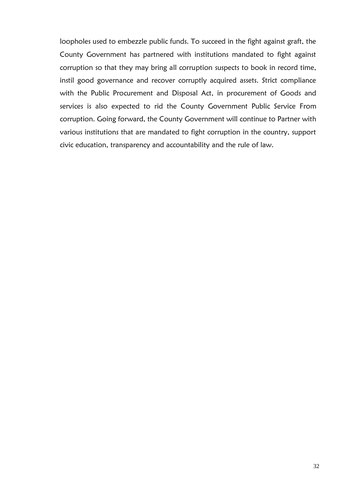loopholes used to embezzle public funds. To succeed in the fight against graft, the County Government has partnered with institutions mandated to fight against corruption so that they may bring all corruption suspects to book in record time, instil good governance and recover corruptly acquired assets. Strict compliance with the Public Procurement and Disposal Act, in procurement of Goods and services is also expected to rid the County Government Public Service From corruption. Going forward, the County Government will continue to Partner with various institutions that are mandated to fight corruption in the country, support civic education, transparency and accountability and the rule of law.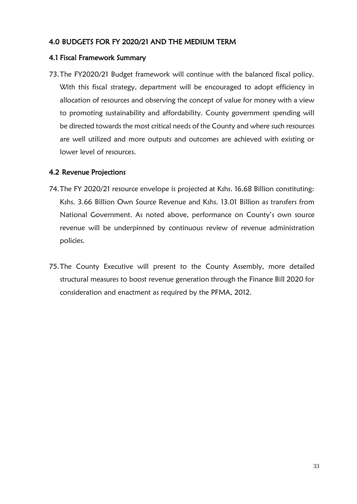# <span id="page-32-0"></span>4.0 BUDGETS FOR FY 2020/21 AND THE MEDIUM TERM

# <span id="page-32-1"></span>4.1 Fiscal Framework Summary

73.The FY2020/21 Budget framework will continue with the balanced fiscal policy. With this fiscal strategy, department will be encouraged to adopt efficiency in allocation of resources and observing the concept of value for money with a view to promoting sustainability and affordability. County government spending will be directed towards the most critical needs of the County and where such resources are well utilized and more outputs and outcomes are achieved with existing or lower level of resources.

# <span id="page-32-2"></span>4.2 Revenue Projections

- 74.The FY 2020/21 resource envelope is projected at Kshs. 16.68 Billion constituting: Kshs. 3.66 Billion Own Source Revenue and Kshs. 13.01 Billion as transfers from National Government. As noted above, performance on County's own source revenue will be underpinned by continuous review of revenue administration policies.
- 75.The County Executive will present to the County Assembly, more detailed structural measures to boost revenue generation through the Finance Bill 2020 for consideration and enactment as required by the PFMA, 2012.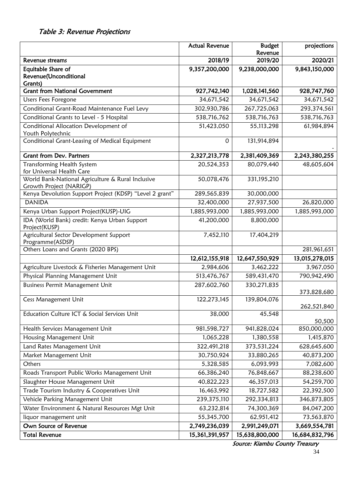# <span id="page-33-0"></span>Table 3: Revenue Projections

|                                                                              | <b>Actual Revenue</b> | <b>Budget</b><br>Revenue | projections    |
|------------------------------------------------------------------------------|-----------------------|--------------------------|----------------|
| Revenue streams                                                              | 2018/19               | 2019/20                  | 2020/21        |
| Equitable Share of                                                           | 9,357,200,000         | 9,238,000,000            | 9,843,150,000  |
| Revenue(Unconditional                                                        |                       |                          |                |
| Grants)<br><b>Grant from National Government</b>                             |                       |                          |                |
|                                                                              | 927,742,140           | 1,028,141,560            | 928,747,760    |
| Users Fees Foregone                                                          | 34,671,542            | 34,671,542               | 34,671,542     |
| Conditional Grant-Road Maintenance Fuel Levy                                 | 302,930,786           | 267,725,063              | 293,374,561    |
| Conditional Grants to Level - 5 Hospital                                     | 538,716,762           | 538,716,763              | 538,716,763    |
| Conditional Allocation Development of<br>Youth Polytechnic                   | 51,423,050            | 55,113,298               | 61,984,894     |
| Conditional Grant-Leasing of Medical Equipment                               | 0                     | 131,914,894              |                |
|                                                                              |                       |                          |                |
| <b>Grant from Dev. Partners</b>                                              | 2,327,213,778         | 2,381,409,369            | 2,243,380,255  |
| Transforming Health System                                                   | 20,524,353            | 80,079,440               | 48,605,604     |
| for Universal Health Care                                                    |                       |                          |                |
| World Bank-National Agriculture & Rural Inclusive<br>Growth Project (NARIGP) | 50,078,476            | 331,195,210              |                |
| Kenya Devolution Support Project (KDSP) "Level 2 grant"                      | 289,565,839           | 30,000,000               |                |
| <b>DANIDA</b>                                                                | 32,400,000            | 27,937,500               | 26,820,000     |
| Kenya Urban Support Project(KUSP)-UIG                                        | 1,885,993,000         | 1,885,993,000            | 1,885,993,000  |
| IDA (World Bank) credit: Kenya Urban Support<br>Project(KUSP)                | 41,200,000            | 8,800,000                |                |
| Agricultural Sector Development Support                                      | 7,452,110             | 17,404,219               |                |
| Programme(ASDSP)                                                             |                       |                          |                |
| Others Loans and Grants (2020 BPS)                                           |                       |                          | 281,961,651    |
|                                                                              | 12,612,155,918        | 12,647,550,929           | 13,015,278,015 |
| Agriculture Livestock & Fisheries Management Unit                            | 2,984,606             | 3,462,222                | 3,967,050      |
| Physical Planning Management Unit                                            | 513,476,767           | 589,431,470              | 790,942,490    |
| Business Permit Management Unit                                              | 287,602,760           | 330,271,835              |                |
| Cess Management Unit                                                         | 122,273,145           | 139,804,076              | 373,828,680    |
|                                                                              |                       |                          | 262,521,840    |
| Education Culture ICT & Social Services Unit                                 | 38,000                | 45,548                   | 50,500         |
| Health Services Management Unit                                              | 981,598,727           | 941,828,024              | 850,000,000    |
| Housing Management Unit                                                      | 1,065,228             | 1,380,558                | 1,415,870      |
| Land Rates Management Unit                                                   | 322,491,218           | 373,531,224              | 628,645,600    |
| Market Management Unit                                                       | 30,750,924            | 33,880,265               | 40,873,200     |
| Others                                                                       | 5,328,585             | 6,093,993                | 7,082,600      |
| Roads Transport Public Works Management Unit                                 | 66,386,240            | 76,848,667               | 88,238,600     |
| Slaughter House Management Unit                                              | 40,822,223            | 46,357,013               | 54,259,700     |
| Trade Tourism Industry & Cooperatives Unit                                   | 16,463,992            | 18,727,582               | 22,392,500     |
| Vehicle Parking Management Unit                                              | 239,375,110           | 292,334,813              | 346,873,805    |
| Water Environment & Natural Resources Mgt Unit                               | 63,232,814            | 74,300,369               | 84,047,200     |
| liquor management unit                                                       | 55,345,700            | 62,951,412               | 73,563,870     |
| Own Source of Revenue                                                        | 2,749,236,039         | 2,991,249,071            | 3,669,554,781  |
| <b>Total Revenue</b>                                                         | 15,361,391,957        | 15,638,800,000           | 16,684,832,796 |

Source: Kiambu County Treasury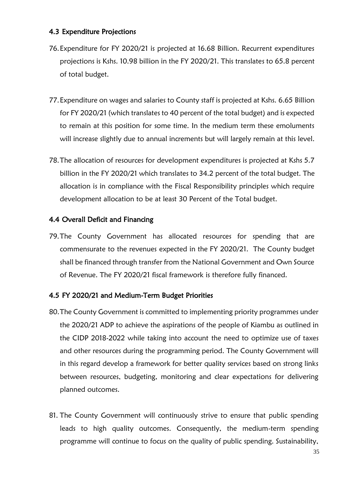## <span id="page-34-0"></span>4.3 Expenditure Projections

- 76.Expenditure for FY 2020/21 is projected at 16.68 Billion. Recurrent expenditures projections is Kshs. 10.98 billion in the FY 2020/21. This translates to 65.8 percent of total budget.
- 77.Expenditure on wages and salaries to County staff is projected at Kshs. 6.65 Billion for FY 2020/21 (which translates to 40 percent of the total budget) and is expected to remain at this position for some time. In the medium term these emoluments will increase slightly due to annual increments but will largely remain at this level.
- 78.The allocation of resources for development expenditures is projected at Kshs 5.7 billion in the FY 2020/21 which translates to 34.2 percent of the total budget. The allocation is in compliance with the Fiscal Responsibility principles which require development allocation to be at least 30 Percent of the Total budget.

# <span id="page-34-1"></span>4.4 Overall Deficit and Financing

79.The County Government has allocated resources for spending that are commensurate to the revenues expected in the FY 2020/21. The County budget shall be financed through transfer from the National Government and Own Source of Revenue. The FY 2020/21 fiscal framework is therefore fully financed.

# <span id="page-34-2"></span>4.5 FY 2020/21 and Medium-Term Budget Priorities

- 80.The County Government is committed to implementing priority programmes under the 2020/21 ADP to achieve the aspirations of the people of Kiambu as outlined in the CIDP 2018-2022 while taking into account the need to optimize use of taxes and other resources during the programming period. The County Government will in this regard develop a framework for better quality services based on strong links between resources, budgeting, monitoring and clear expectations for delivering planned outcomes.
- 81. The County Government will continuously strive to ensure that public spending leads to high quality outcomes. Consequently, the medium-term spending programme will continue to focus on the quality of public spending. Sustainability,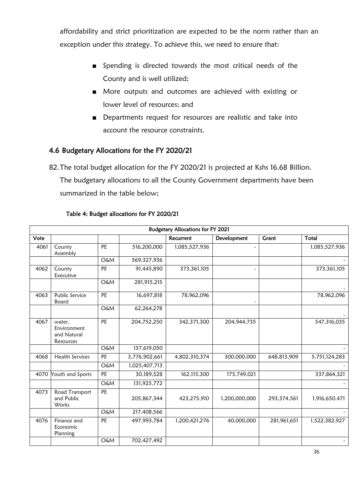affordability and strict prioritization are expected to be the norm rather than an exception under this strategy. To achieve this, we need to ensure that:

- Spending is directed towards the most critical needs of the County and is well utilized;
- More outputs and outcomes are achieved with existing or lower level of resources; and
- Departments request for resources are realistic and take into account the resource constraints.

## <span id="page-35-0"></span>4.6 Budgetary Allocations for the FY 2020/21

82.The total budget allocation for the FY 2020/21 is projected at Kshs 16.68 Billion. The budgetary allocations to all the County Government departments have been summarized in the table below;

|      | <b>Budgetary Allocations for FY 2021</b>          |                 |               |               |               |             |               |  |  |
|------|---------------------------------------------------|-----------------|---------------|---------------|---------------|-------------|---------------|--|--|
| Vote |                                                   |                 |               | Recurrent     | Development   | Grant       | Total         |  |  |
| 4061 | County<br>Assembly                                | PE              | 516,200,000   | 1,085,527,936 |               |             | 1,085,527,936 |  |  |
|      |                                                   | <b>O&amp;M</b>  | 569,327,936   |               |               |             |               |  |  |
| 4062 | County<br>Executive                               | PE              | 91,445,890    | 373,361,105   |               |             | 373,361,105   |  |  |
|      |                                                   | <b>O&amp;M</b>  | 281,915,215   |               |               |             |               |  |  |
| 4063 | Public Service<br>Board                           | $\overline{PE}$ | 16,697,818    | 78,962,096    |               |             | 78,962,096    |  |  |
|      |                                                   | <b>O&amp;M</b>  | 62,264,278    |               |               |             |               |  |  |
| 4067 | water.<br>Environment<br>and Natural<br>Resources | PE              | 204,752,250   | 342,371,300   | 204,944,735   |             | 547,316,035   |  |  |
|      |                                                   | <b>O&amp;M</b>  | 137,619,050   |               |               |             |               |  |  |
| 4068 | <b>Health Services</b>                            | PE              | 3,776,902,661 | 4,802,310,374 | 300,000,000   | 648,813,909 | 5,751,124,283 |  |  |
|      |                                                   | <b>O&amp;M</b>  | 1,025,407,713 |               |               |             |               |  |  |
| 4070 | Youth and Sports                                  | PE              | 30,189,528    | 162,115,300   | 175,749,021   |             | 337,864,321   |  |  |
|      |                                                   | <b>O&amp;M</b>  | 131,925,772   |               |               |             |               |  |  |
| 4073 | Road Transport<br>and Public<br>Works             | PE              | 205, 867, 344 | 423,275,910   | 1,200,000,000 | 293,374,561 | 1,916,650,471 |  |  |
|      |                                                   | <b>O&amp;M</b>  | 217,408,566   |               |               |             |               |  |  |
| 4076 | Finance and<br>Economic<br>Planning               | PE              | 497,993,784   | 1,200,421,276 | 40,000,000    | 281,961,651 | 1,522,382,927 |  |  |
|      |                                                   | <b>O&amp;M</b>  | 702,427,492   |               |               |             |               |  |  |

### <span id="page-35-1"></span>Table 4: Budget allocations for FY 2020/21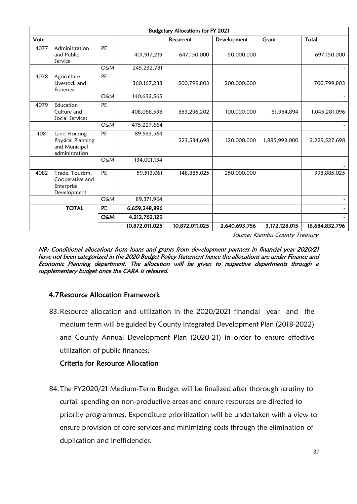|      | <b>Budgetary Allocations for FY 2021</b>                             |                |                |                |               |               |                |  |
|------|----------------------------------------------------------------------|----------------|----------------|----------------|---------------|---------------|----------------|--|
| Vote |                                                                      |                |                | Recurrent      | Development   | <b>Grant</b>  | Total          |  |
| 4077 | Administration<br>and Public<br>Service                              | PE             | 401,917,219    | 647,150,000    | 50,000,000    |               | 697,150,000    |  |
|      |                                                                      | <b>O&amp;M</b> | 245,232,781    |                |               |               |                |  |
| 4078 | Agriculture<br>Livestock and<br>Fisheries                            | PE             | 360, 167, 238  | 500,799,803    | 200,000,000   |               | 700,799,803    |  |
|      |                                                                      | <b>O&amp;M</b> | 140,632,565    |                |               |               |                |  |
| 4079 | Education<br>Culture and<br>Social Services                          | PE             | 408,068,538    | 883,296,202    | 100,000,000   | 61,984,894    | 1,045,281,096  |  |
|      |                                                                      | O&M            | 475,227,664    |                |               |               |                |  |
| 4081 | Land Housing<br>Physical Planning<br>and Municipal<br>administration | PE             | 89,533,564     | 223,534,698    | 120,000,000   | 1,885,993,000 | 2,229,527,698  |  |
|      |                                                                      | <b>O&amp;M</b> | 134,001,134    |                |               |               |                |  |
| 4082 | Trade, Tourism,<br>Cooperative and<br>Enterprise<br>Development      | PE             | 59,513,061     | 148,885,025    | 250,000,000   |               | 398,885,025    |  |
|      |                                                                      | <b>O&amp;M</b> | 89,371,964     |                |               |               |                |  |
|      | <b>TOTAL</b>                                                         | PE             | 6,659,248,896  |                |               |               |                |  |
|      |                                                                      | <b>O&amp;M</b> | 4,212,762,129  |                |               |               |                |  |
|      |                                                                      |                | 10,872,011,025 | 10,872,011,025 | 2,640,693,756 | 3,172,128,015 | 16,684,832,796 |  |

Source: Kiambu County Treasury

NB: Conditional allocations from loans and grants from development partners in financial year 2020/21 have not been categorized in the 2020 Budget Policy Statement hence the allocations are under Finance and Economic Planning department. The allocation will be given to respective departments through a supplementary budget once the CARA is released.

# <span id="page-36-0"></span>4.7Resource Allocation Framework

83.Resource allocation and utilization in the 2020/2021 financial year and the medium term will be guided by County Integrated Development Plan (2018-2022) and County Annual Development Plan (2020-21) in order to ensure effective utilization of public finances;

# Criteria for Resource Allocation

84.The FY2020/21 Medium-Term Budget will be finalized after thorough scrutiny to curtail spending on non-productive areas and ensure resources are directed to priority programmes. Expenditure prioritization will be undertaken with a view to ensure provision of core services and minimizing costs through the elimination of duplication and inefficiencies.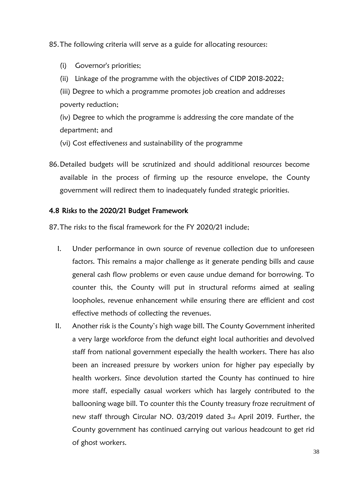85.The following criteria will serve as a guide for allocating resources:

(i) Governor's priorities;

(ii) Linkage of the programme with the objectives of CIDP 2018-2022;

(iii) Degree to which a programme promotes job creation and addresses poverty reduction;

(iv) Degree to which the programme is addressing the core mandate of the department; and

- (vi) Cost effectiveness and sustainability of the programme
- 86.Detailed budgets will be scrutinized and should additional resources become available in the process of firming up the resource envelope, the County government will redirect them to inadequately funded strategic priorities.

### <span id="page-37-0"></span>4.8 Risks to the 2020/21 Budget Framework

87.The risks to the fiscal framework for the FY 2020/21 include;

- I. Under performance in own source of revenue collection due to unforeseen factors. This remains a major challenge as it generate pending bills and cause general cash flow problems or even cause undue demand for borrowing. To counter this, the County will put in structural reforms aimed at sealing loopholes, revenue enhancement while ensuring there are efficient and cost effective methods of collecting the revenues.
- II. Another risk is the County's high wage bill. The County Government inherited a very large workforce from the defunct eight local authorities and devolved staff from national government especially the health workers. There has also been an increased pressure by workers union for higher pay especially by health workers. Since devolution started the County has continued to hire more staff, especially casual workers which has largely contributed to the ballooning wage bill. To counter this the County treasury froze recruitment of new staff through Circular NO. 03/2019 dated 3rd April 2019. Further, the County government has continued carrying out various headcount to get rid of ghost workers.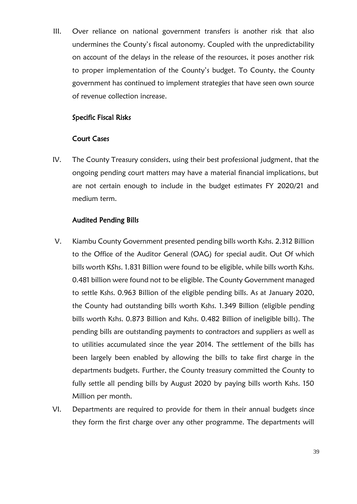III. Over reliance on national government transfers is another risk that also undermines the County's fiscal autonomy. Coupled with the unpredictability on account of the delays in the release of the resources, it poses another risk to proper implementation of the County's budget. To County, the County government has continued to implement strategies that have seen own source of revenue collection increase.

## Specific Fiscal Risks

### Court Cases

IV. The County Treasury considers, using their best professional judgment, that the ongoing pending court matters may have a material financial implications, but are not certain enough to include in the budget estimates FY 2020/21 and medium term.

## Audited Pending Bills

- V. Kiambu County Government presented pending bills worth Kshs. 2.312 Billion to the Office of the Auditor General (OAG) for special audit. Out Of which bills worth KShs. 1.831 Billion were found to be eligible, while bills worth Kshs. 0.481 billion were found not to be eligible. The County Government managed to settle Kshs. 0.963 Billion of the eligible pending bills. As at January 2020, the County had outstanding bills worth Kshs. 1.349 Billion (eligible pending bills worth Kshs. 0.873 Billion and Kshs. 0.482 Billion of ineligible bills). The pending bills are outstanding payments to contractors and suppliers as well as to utilities accumulated since the year 2014. The settlement of the bills has been largely been enabled by allowing the bills to take first charge in the departments budgets. Further, the County treasury committed the County to fully settle all pending bills by August 2020 by paying bills worth Kshs. 150 Million per month.
- VI. Departments are required to provide for them in their annual budgets since they form the first charge over any other programme. The departments will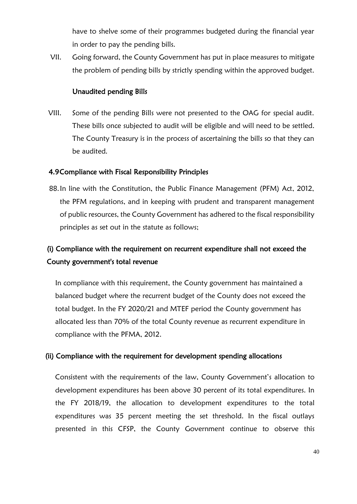have to shelve some of their programmes budgeted during the financial year in order to pay the pending bills.

VII. Going forward, the County Government has put in place measures to mitigate the problem of pending bills by strictly spending within the approved budget.

### Unaudited pending Bills

VIII. Some of the pending Bills were not presented to the OAG for special audit. These bills once subjected to audit will be eligible and will need to be settled. The County Treasury is in the process of ascertaining the bills so that they can be audited.

### <span id="page-39-0"></span>4.9Compliance with Fiscal Responsibility Principles

88.In line with the Constitution, the Public Finance Management (PFM) Act, 2012, the PFM regulations, and in keeping with prudent and transparent management of public resources, the County Government has adhered to the fiscal responsibility principles as set out in the statute as follows;

# (i) Compliance with the requirement on recurrent expenditure shall not exceed the County government's total revenue

In compliance with this requirement, the County government has maintained a balanced budget where the recurrent budget of the County does not exceed the total budget. In the FY 2020/21 and MTEF period the County government has allocated less than 70% of the total County revenue as recurrent expenditure in compliance with the PFMA, 2012.

### (ii) Compliance with the requirement for development spending allocations

Consistent with the requirements of the law, County Government's allocation to development expenditures has been above 30 percent of its total expenditures. In the FY 2018/19, the allocation to development expenditures to the total expenditures was 35 percent meeting the set threshold. In the fiscal outlays presented in this CFSP, the County Government continue to observe this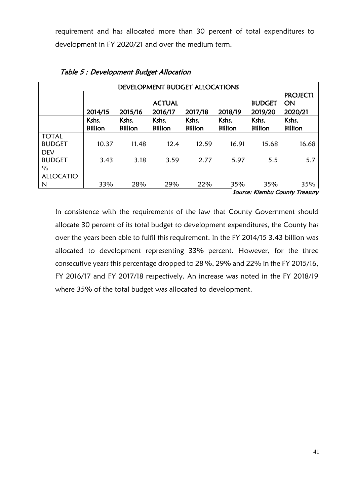requirement and has allocated more than 30 percent of total expenditures to development in FY 2020/21 and over the medium term.

<span id="page-40-0"></span>

| DEVELOPMENT BUDGET ALLOCATIONS |                         |                         |                         |                         |                         |                         |                         |  |
|--------------------------------|-------------------------|-------------------------|-------------------------|-------------------------|-------------------------|-------------------------|-------------------------|--|
|                                |                         |                         | <b>PROJECTI</b>         |                         |                         |                         |                         |  |
|                                |                         |                         | <b>ACTUAL</b>           |                         |                         | <b>BUDGET</b>           | ON                      |  |
|                                | 2014/15                 | 2015/16                 | 2016/17                 | 2017/18                 | 2018/19                 | 2019/20                 | 2020/21                 |  |
|                                | Kshs.<br><b>Billion</b> | Kshs.<br><b>Billion</b> | Kshs.<br><b>Billion</b> | Kshs.<br><b>Billion</b> | Kshs.<br><b>Billion</b> | Kshs.<br><b>Billion</b> | Kshs.<br><b>Billion</b> |  |
| <b>TOTAL</b>                   |                         |                         |                         |                         |                         |                         |                         |  |
| <b>BUDGET</b>                  | 10.37                   | 11.48                   | 12.4                    | 12.59                   | 16.91                   | 15.68                   | 16.68                   |  |
| <b>DEV</b>                     |                         |                         |                         |                         |                         |                         |                         |  |
| <b>BUDGET</b>                  | 3.43                    | 3.18                    | 3.59                    | 2.77                    | 5.97                    | 5.5                     | 5.7                     |  |
| $\%$                           |                         |                         |                         |                         |                         |                         |                         |  |
| <b>ALLOCATIO</b>               |                         |                         |                         |                         |                         |                         |                         |  |
| N                              | 33%                     | 28%                     | 29%                     | 22%                     | 35%                     | 35%                     | 35%                     |  |

Source: Kiambu County Treasury

<span id="page-40-1"></span>In consistence with the requirements of the law that County Government should allocate 30 percent of its total budget to development expenditures, the County has over the years been able to fulfil this requirement. In the FY 2014/15 3.43 billion was allocated to development representing 33% percent. However, for the three consecutive years this percentage dropped to 28 %, 29% and 22% in the FY 2015/16, FY 2016/17 and FY 2017/18 respectively. An increase was noted in the FY 2018/19 where 35% of the total budget was allocated to development.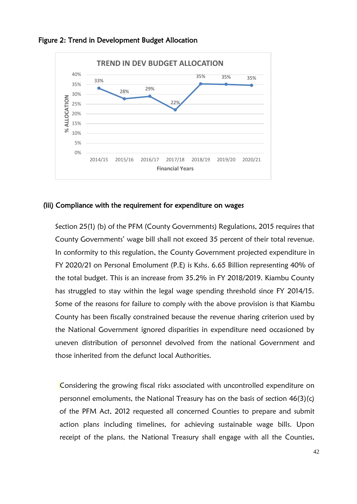

### Figure 2: Trend in Development Budget Allocation

### (iii) Compliance with the requirement for expenditure on wages

Section 25(1) (b) of the PFM (County Governments) Regulations, 2015 requires that County Governments' wage bill shall not exceed 35 percent of their total revenue. In conformity to this regulation, the County Government projected expenditure in FY 2020/21 on Personal Emolument (P.E) is Kshs. 6.65 Billion representing 40% of the total budget. This is an increase from 35.2% in FY 2018/2019. Kiambu County has struggled to stay within the legal wage spending threshold since FY 2014/15. Some of the reasons for failure to comply with the above provision is that Kiambu County has been fiscally constrained because the revenue sharing criterion used by the National Government ignored disparities in expenditure need occasioned by uneven distribution of personnel devolved from the national Government and those inherited from the defunct local Authorities.

Considering the growing fiscal risks associated with uncontrolled expenditure on personnel emoluments, the National Treasury has on the basis of section 46(3)(c) of the PFM Act, 2012 requested all concerned Counties to prepare and submit action plans including timelines, for achieving sustainable wage bills. Upon receipt of the plans, the National Treasury shall engage with all the Counties,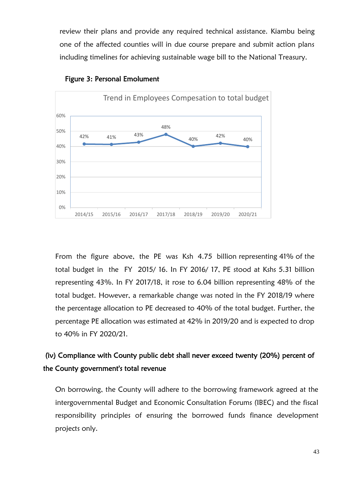review their plans and provide any required technical assistance. Kiambu being one of the affected counties will in due course prepare and submit action plans including timelines for achieving sustainable wage bill to the National Treasury.



<span id="page-42-0"></span>

From the figure above, the PE was Ksh 4.75 billion representing 41% of the total budget in the FY 2015/ 16. In FY 2016/ 17, PE stood at Kshs 5.31 billion representing 43%. In FY 2017/18, it rose to 6.04 billion representing 48% of the total budget. However, a remarkable change was noted in the FY 2018/19 where the percentage allocation to PE decreased to 40% of the total budget. Further, the percentage PE allocation was estimated at 42% in 2019/20 and is expected to drop to 40% in FY 2020/21.

# (iv) Compliance with County public debt shall never exceed twenty (20%) percent of the County government's total revenue

On borrowing, the County will adhere to the borrowing framework agreed at the intergovernmental Budget and Economic Consultation Forums (IBEC) and the fiscal responsibility principles of ensuring the borrowed funds finance development projects only.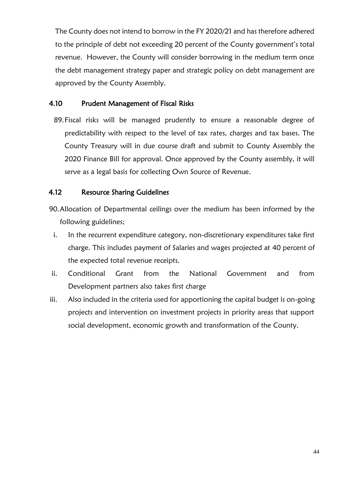The County does not intend to borrow in the FY 2020/21 and has therefore adhered to the principle of debt not exceeding 20 percent of the County government's total revenue. However, the County will consider borrowing in the medium term once the debt management strategy paper and strategic policy on debt management are approved by the County Assembly.

# <span id="page-43-0"></span>4.10 Prudent Management of Fiscal Risks

89.Fiscal risks will be managed prudently to ensure a reasonable degree of predictability with respect to the level of tax rates, charges and tax bases. The County Treasury will in due course draft and submit to County Assembly the 2020 Finance Bill for approval. Once approved by the County assembly, it will serve as a legal basis for collecting Own Source of Revenue.

# <span id="page-43-1"></span>4.12 Resource Sharing Guidelines

- 90.Allocation of Departmental ceilings over the medium has been informed by the following guidelines;
	- i. In the recurrent expenditure category, non-discretionary expenditures take first charge. This includes payment of Salaries and wages projected at 40 percent of the expected total revenue receipts.
- ii. Conditional Grant from the National Government and from Development partners also takes first charge
- iii. Also included in the criteria used for apportioning the capital budget is on-going projects and intervention on investment projects in priority areas that support social development, economic growth and transformation of the County.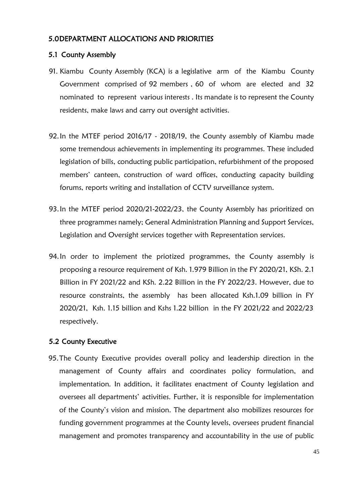### <span id="page-44-0"></span>5.0DEPARTMENT ALLOCATIONS AND PRIORITIES

### <span id="page-44-1"></span>5.1 County Assembly

- 91. Kiambu County Assembly (KCA) is a legislative arm of the Kiambu County Government comprised of 92 members , 60 of whom are elected and 32 nominated to represent various interests . Its mandate is to represent the County residents, make laws and carry out oversight activities.
- 92.In the MTEF period 2016/17 2018/19, the County assembly of Kiambu made some tremendous achievements in implementing its programmes. These included legislation of bills, conducting public participation, refurbishment of the proposed members' canteen, construction of ward offices, conducting capacity building forums, reports writing and installation of CCTV surveillance system.
- 93.In the MTEF period 2020/21-2022/23, the County Assembly has prioritized on three programmes namely; General Administration Planning and Support Services, Legislation and Oversight services together with Representation services.
- 94.In order to implement the priotized programmes, the County assembly is proposing a resource requirement of Ksh. 1.979 Billion in the FY 2020/21, KSh. 2.1 Billion in FY 2021/22 and KSh. 2.22 Billion in the FY 2022/23. However, due to resource constraints, the assembly has been allocated Ksh.1.09 billion in FY 2020/21, Ksh. 1.15 billion and Kshs 1.22 billion in the FY 2021/22 and 2022/23 respectively.

### <span id="page-44-2"></span>5.2 County Executive

95.The County Executive provides overall policy and leadership direction in the management of County affairs and coordinates policy formulation, and implementation. In addition, it facilitates enactment of County legislation and oversees all departments' activities. Further, it is responsible for implementation of the County's vision and mission. The department also mobilizes resources for funding government programmes at the County levels, oversees prudent financial management and promotes transparency and accountability in the use of public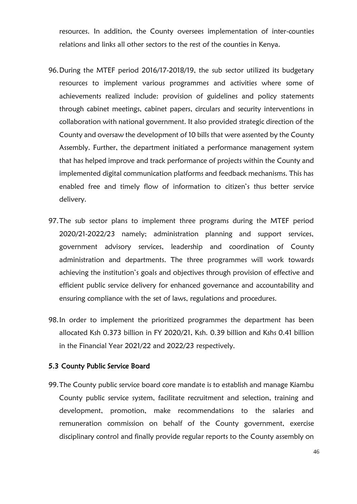resources. In addition, the County oversees implementation of inter-counties relations and links all other sectors to the rest of the counties in Kenya.

- 96.During the MTEF period 2016/17-2018/19, the sub sector utilized its budgetary resources to implement various programmes and activities where some of achievements realized include: provision of guidelines and policy statements through cabinet meetings, cabinet papers, circulars and security interventions in collaboration with national government. It also provided strategic direction of the County and oversaw the development of 10 bills that were assented by the County Assembly. Further, the department initiated a performance management system that has helped improve and track performance of projects within the County and implemented digital communication platforms and feedback mechanisms. This has enabled free and timely flow of information to citizen's thus better service delivery.
- 97.The sub sector plans to implement three programs during the MTEF period 2020/21-2022/23 namely; administration planning and support services, government advisory services, leadership and coordination of County administration and departments. The three programmes will work towards achieving the institution's goals and objectives through provision of effective and efficient public service delivery for enhanced governance and accountability and ensuring compliance with the set of laws, regulations and procedures.
- 98.In order to implement the prioritized programmes the department has been allocated Ksh 0.373 billion in FY 2020/21, Ksh. 0.39 billion and Kshs 0.41 billion in the Financial Year 2021/22 and 2022/23 respectively.

### <span id="page-45-0"></span>5.3 County Public Service Board

99.The County public service board core mandate is to establish and manage Kiambu County public service system, facilitate recruitment and selection, training and development, promotion, make recommendations to the salaries and remuneration commission on behalf of the County government, exercise disciplinary control and finally provide regular reports to the County assembly on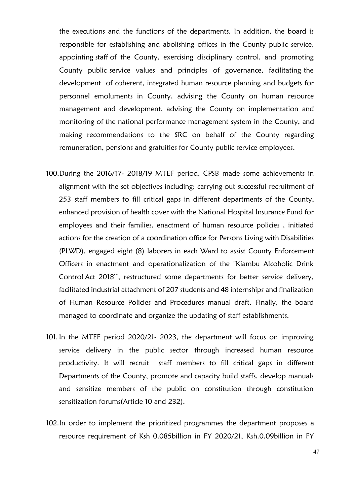the executions and the functions of the departments. In addition, the board is responsible for establishing and abolishing offices in the County public service, appointing staff of the County, exercising disciplinary control, and promoting County public service values and principles of governance, facilitating the development of coherent, integrated human resource planning and budgets for personnel emoluments in County, advising the County on human resource management and development, advising the County on implementation and monitoring of the national performance management system in the County, and making recommendations to the SRC on behalf of the County regarding remuneration, pensions and gratuities for County public service employees.

- 100.During the 2016/17- 2018/19 MTEF period, CPSB made some achievements in alignment with the set objectives including; carrying out successful recruitment of 253 staff members to fill critical gaps in different departments of the County, enhanced provision of health cover with the National Hospital Insurance Fund for employees and their families, enactment of human resource policies , initiated actions for the creation of a coordination office for Persons Living with Disabilities (PLWD), engaged eight (8) laborers in each Ward to assist County Enforcement Officers in enactment and operationalization of the "Kiambu Alcoholic Drink Control Act 2018'', restructured some departments for better service delivery, facilitated industrial attachment of 207 students and 48 internships and finalization of Human Resource Policies and Procedures manual draft. Finally, the board managed to coordinate and organize the updating of staff establishments.
- 101. In the MTEF period 2020/21- 2023, the department will focus on improving service delivery in the public sector through increased human resource productivity. It will recruit staff members to fill critical gaps in different Departments of the County, promote and capacity build staffs, develop manuals and sensitize members of the public on constitution through constitution sensitization forums(Article 10 and 232).
- 102.In order to implement the prioritized programmes the department proposes a resource requirement of Ksh 0.085billion in FY 2020/21, Ksh.0.09billion in FY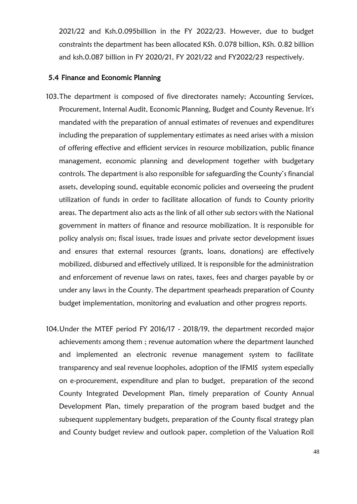2021/22 and Ksh.0.095billion in the FY 2022/23. However, due to budget constraints the department has been allocated KSh. 0.078 billion, KSh. 0.82 billion and ksh.0.087 billion in FY 2020/21, FY 2021/22 and FY2022/23 respectively.

### <span id="page-47-0"></span>5.4 Finance and Economic Planning

- 103.The department is composed of five directorates namely; Accounting Services, Procurement, Internal Audit, Economic Planning, Budget and County Revenue. It's mandated with the preparation of annual estimates of revenues and expenditures including the preparation of supplementary estimates as need arises with a mission of offering effective and efficient services in resource mobilization, public finance management, economic planning and development together with budgetary controls. The department is also responsible for safeguarding the County's financial assets, developing sound, equitable economic policies and overseeing the prudent utilization of funds in order to facilitate allocation of funds to County priority areas. The department also acts as the link of all other sub sectors with the National government in matters of finance and resource mobilization. It is responsible for policy analysis on; fiscal issues, trade issues and private sector development issues and ensures that external resources (grants, loans, donations) are effectively mobilized, disbursed and effectively utilized. It is responsible for the administration and enforcement of revenue laws on rates, taxes, fees and charges payable by or under any laws in the County. The department spearheads preparation of County budget implementation, monitoring and evaluation and other progress reports.
- 104.Under the MTEF period FY 2016/17 2018/19, the department recorded major achievements among them ; revenue automation where the department launched and implemented an electronic revenue management system to facilitate transparency and seal revenue loopholes, adoption of the IFMIS system especially on e-procurement, expenditure and plan to budget, preparation of the second County Integrated Development Plan, timely preparation of County Annual Development Plan, timely preparation of the program based budget and the subsequent supplementary budgets, preparation of the County fiscal strategy plan and County budget review and outlook paper, completion of the Valuation Roll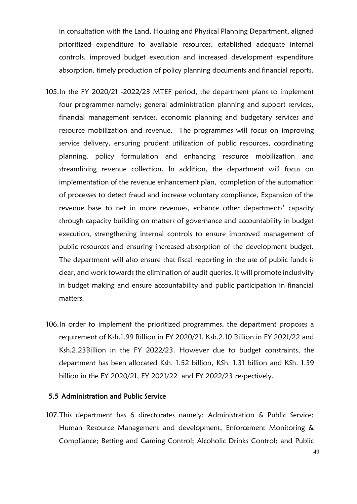in consultation with the Land, Housing and Physical Planning Department, aligned prioritized expenditure to available resources, established adequate internal controls, improved budget execution and increased development expenditure absorption, timely production of policy planning documents and financial reports.

- 105.In the FY 2020/21 -2022/23 MTEF period, the department plans to implement four programmes namely; general administration planning and support services, financial management services, economic planning and budgetary services and resource mobilization and revenue. The programmes will focus on improving service delivery, ensuring prudent utilization of public resources, coordinating planning, policy formulation and enhancing resource mobilization and streamlining revenue collection. In addition, the department will focus on implementation of the revenue enhancement plan, completion of the automation of processes to detect fraud and increase voluntary compliance, Expansion of the revenue base to net in more revenues, enhance other departments' capacity through capacity building on matters of governance and accountability in budget execution, strengthening internal controls to ensure improved management of public resources and ensuring increased absorption of the development budget. The department will also ensure that fiscal reporting in the use of public funds is clear, and work towards the elimination of audit queries. It will promote inclusivity in budget making and ensure accountability and public participation in financial matters.
- 106.In order to implement the prioritized programmes, the department proposes a requirement of Ksh.1.99 Billion in FY 2020/21, Ksh.2.10 Billion in FY 2021/22 and Ksh.2.23Billion in the FY 2022/23. However due to budget constraints, the department has been allocated Ksh. 1.52 billion, KSh. 1.31 billion and KSh. 1.39 billion in the FY 2020/21, FY 2021/22 and FY 2022/23 respectively.

### <span id="page-48-0"></span>5.5 Administration and Public Service

107.This department has 6 directorates namely: Administration & Public Service; Human Resource Management and development, Enforcement Monitoring & Compliance; Betting and Gaming Control; Alcoholic Drinks Control; and Public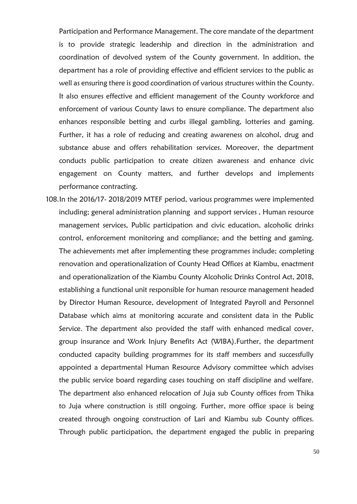Participation and Performance Management. The core mandate of the department is to provide strategic leadership and direction in the administration and coordination of devolved system of the County government. In addition, the department has a role of providing effective and efficient services to the public as well as ensuring there is good coordination of various structures within the County. It also ensures effective and efficient management of the County workforce and enforcement of various County laws to ensure compliance. The department also enhances responsible betting and curbs illegal gambling, lotteries and gaming. Further, it has a role of reducing and creating awareness on alcohol, drug and substance abuse and offers rehabilitation services. Moreover, the department conducts public participation to create citizen awareness and enhance civic engagement on County matters, and further develops and implements performance contracting.

108.In the 2016/17- 2018/2019 MTEF period, various programmes were implemented including; general administration planning and support services , Human resource management services, Public participation and civic education, alcoholic drinks control, enforcement monitoring and compliance; and the betting and gaming. The achievements met after implementing these programmes include; completing renovation and operationalization of County Head Offices at Kiambu, enactment and operationalization of the Kiambu County Alcoholic Drinks Control Act, 2018, establishing a functional unit responsible for human resource management headed by Director Human Resource, development of Integrated Payroll and Personnel Database which aims at monitoring accurate and consistent data in the Public Service. The department also provided the staff with enhanced medical cover, group insurance and Work Injury Benefits Act (WIBA).Further, the department conducted capacity building programmes for its staff members and successfully appointed a departmental Human Resource Advisory committee which advises the public service board regarding cases touching on staff discipline and welfare. The department also enhanced relocation of Juja sub County offices from Thika to Juja where construction is still ongoing. Further, more office space is being created through ongoing construction of Lari and Kiambu sub County offices. Through public participation, the department engaged the public in preparing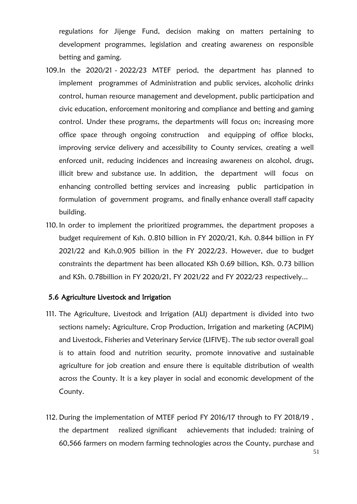regulations for Jijenge Fund, decision making on matters pertaining to development programmes, legislation and creating awareness on responsible betting and gaming.

- 109.In the 2020/21 2022/23 MTEF period, the department has planned to implement programmes of Administration and public services, alcoholic drinks control, human resource management and development, public participation and civic education, enforcement monitoring and compliance and betting and gaming control. Under these programs, the departments will focus on; increasing more office space through ongoing construction and equipping of office blocks, improving service delivery and accessibility to County services, creating a well enforced unit, reducing incidences and increasing awareness on alcohol, drugs, illicit brew and substance use. In addition, the department will focus on enhancing controlled betting services and increasing public participation in formulation of government programs, and finally enhance overall staff capacity building.
- 110. In order to implement the prioritized programmes, the department proposes a budget requirement of Ksh. 0.810 billion in FY 2020/21, Ksh. 0.844 billion in FY 2021/22 and Ksh.0.905 billion in the FY 2022/23. However, due to budget constraints the department has been allocated KSh 0.69 billion, KSh. 0.73 billion and KSh. 0.78billion in FY 2020/21, FY 2021/22 and FY 2022/23 respectively...

### <span id="page-50-0"></span>5.6 Agriculture Livestock and Irrigation

- 111. The Agriculture, Livestock and Irrigation (ALI) department is divided into two sections namely; Agriculture, Crop Production, Irrigation and marketing (ACPIM) and Livestock, Fisheries and Veterinary Service (LIFIVE). The sub sector overall goal is to attain food and nutrition security, promote innovative and sustainable agriculture for job creation and ensure there is equitable distribution of wealth across the County. It is a key player in social and economic development of the County.
- 112. During the implementation of MTEF period FY 2016/17 through to FY 2018/19 , the department realized significant achievements that included: training of 60,566 farmers on modern farming technologies across the County, purchase and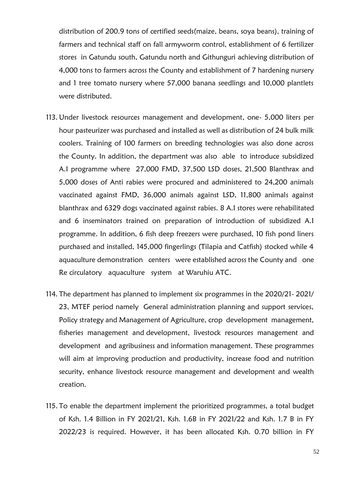distribution of 200.9 tons of certified seeds(maize, beans, soya beans), training of farmers and technical staff on fall armyworm control, establishment of 6 fertilizer stores in Gatundu south, Gatundu north and Githunguri achieving distribution of 4,000 tons to farmers across the County and establishment of 7 hardening nursery and 1 tree tomato nursery where 57,000 banana seedlings and 10,000 plantlets were distributed.

- 113. Under livestock resources management and development, one- 5,000 liters per hour pasteurizer was purchased and installed as well as distribution of 24 bulk milk coolers. Training of 100 farmers on breeding technologies was also done across the County. In addition, the department was also able to introduce subsidized A.I programme where 27,000 FMD, 37,500 LSD doses, 21,500 Blanthrax and 5,000 doses of Anti rabies were procured and administered to 24,200 animals vaccinated against FMD, 36,000 animals against LSD, 11,800 animals against blanthrax and 6329 dogs vaccinated against rabies. 8 A.I stores were rehabilitated and 6 inseminators trained on preparation of introduction of subsidized A.I programme. In addition, 6 fish deep freezers were purchased, 10 fish pond liners purchased and installed, 145,000 fingerlings (Tilapia and Catfish) stocked while 4 aquaculture demonstration centers were established across the County and one Re circulatory aquaculture system at Waruhiu ATC.
- 114. The department has planned to implement six programmes in the 2020/21- 2021/ 23, MTEF period namely General administration planning and support services, Policy strategy and Management of Agriculture, crop development management, fisheries management and development, livestock resources management and development and agribusiness and information management. These programmes will aim at improving production and productivity, increase food and nutrition security, enhance livestock resource management and development and wealth creation.
- 115. To enable the department implement the prioritized programmes, a total budget of Ksh. 1.4 Billion in FY 2021/21, Ksh. 1.6B in FY 2021/22 and Ksh. 1.7 B in FY 2022/23 is required. However, it has been allocated Ksh. 0.70 billion in FY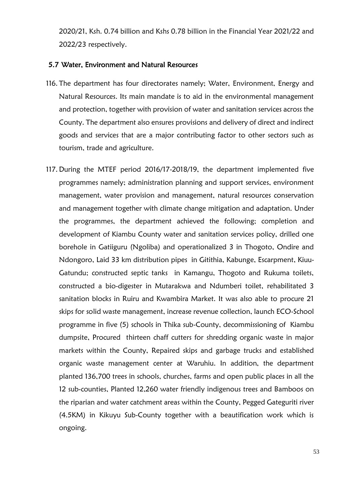2020/21, Ksh. 0.74 billion and Kshs 0.78 billion in the Financial Year 2021/22 and 2022/23 respectively.

### <span id="page-52-0"></span>5.7 Water, Environment and Natural Resources

- 116. The department has four directorates namely; Water, Environment, Energy and Natural Resources. Its main mandate is to aid in the environmental management and protection, together with provision of water and sanitation services across the County. The department also ensures provisions and delivery of direct and indirect goods and services that are a major contributing factor to other sectors such as tourism, trade and agriculture.
- 117. During the MTEF period 2016/17-2018/19, the department implemented five programmes namely; administration planning and support services, environment management, water provision and management, natural resources conservation and management together with climate change mitigation and adaptation. Under the programmes, the department achieved the following; completion and development of Kiambu County water and sanitation services policy, drilled one borehole in Gatiiguru (Ngoliba) and operationalized 3 in Thogoto, Ondire and Ndongoro, Laid 33 km distribution pipes in Gitithia, Kabunge, Escarpment, Kiuu-Gatundu; constructed septic tanks in Kamangu, Thogoto and Rukuma toilets, constructed a bio-digester in Mutarakwa and Ndumberi toilet, rehabilitated 3 sanitation blocks in Ruiru and Kwambira Market. It was also able to procure 21 skips for solid waste management, increase revenue collection, launch ECO-School programme in five (5) schools in Thika sub-County, decommissioning of Kiambu dumpsite, Procured thirteen chaff cutters for shredding organic waste in major markets within the County, Repaired skips and garbage trucks and established organic waste management center at Waruhiu. In addition, the department planted 136,700 trees in schools, churches, farms and open public places in all the 12 sub-counties, Planted 12,260 water friendly indigenous trees and Bamboos on the riparian and water catchment areas within the County, Pegged Gateguriti river (4.5KM) in Kikuyu Sub-County together with a beautification work which is ongoing.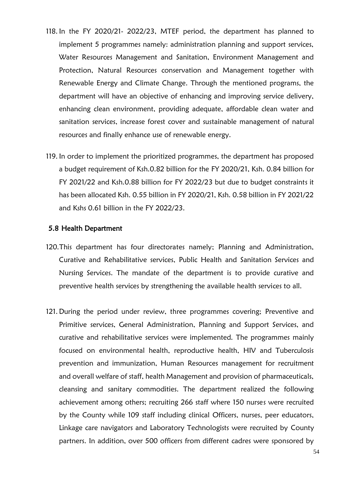- 118. In the FY 2020/21- 2022/23, MTEF period, the department has planned to implement 5 programmes namely: administration planning and support services, Water Resources Management and Sanitation, Environment Management and Protection, Natural Resources conservation and Management together with Renewable Energy and Climate Change. Through the mentioned programs, the department will have an objective of enhancing and improving service delivery, enhancing clean environment, providing adequate, affordable clean water and sanitation services, increase forest cover and sustainable management of natural resources and finally enhance use of renewable energy.
- 119. In order to implement the prioritized programmes, the department has proposed a budget requirement of Ksh.0.82 billion for the FY 2020/21, Ksh. 0.84 billion for FY 2021/22 and Ksh.0.88 billion for FY 2022/23 but due to budget constraints it has been allocated Ksh. 0.55 billion in FY 2020/21, Ksh. 0.58 billion in FY 2021/22 and Kshs 0.61 billion in the FY 2022/23.

### <span id="page-53-0"></span>5.8 Health Department

- 120.This department has four directorates namely; Planning and Administration, Curative and Rehabilitative services, Public Health and Sanitation Services and Nursing Services. The mandate of the department is to provide curative and preventive health services by strengthening the available health services to all.
- 121. During the period under review, three programmes covering; Preventive and Primitive services, General Administration, Planning and Support Services, and curative and rehabilitative services were implemented. The programmes mainly focused on environmental health, reproductive health, HIV and Tuberculosis prevention and immunization, Human Resources management for recruitment and overall welfare of staff, health Management and provision of pharmaceuticals, cleansing and sanitary commodities. The department realized the following achievement among others; recruiting 266 staff where 150 nurses were recruited by the County while 109 staff including clinical Officers, nurses, peer educators, Linkage care navigators and Laboratory Technologists were recruited by County partners. In addition, over 500 officers from different cadres were sponsored by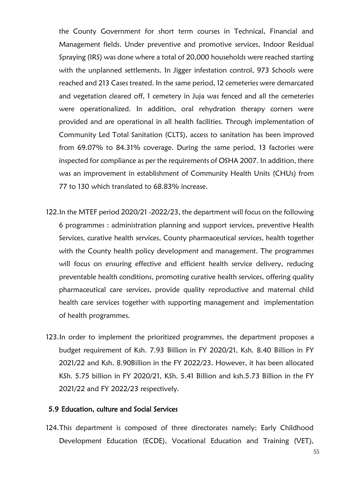the County Government for short term courses in Technical, Financial and Management fields. Under preventive and promotive services, Indoor Residual Spraying (IRS) was done where a total of 20,000 households were reached starting with the unplanned settlements. In Jigger infestation control, 973 Schools were reached and 213 Cases treated. In the same period, 12 cemeteries were demarcated and vegetation cleared off, 1 cemetery in Juja was fenced and all the cemeteries were operationalized. In addition, oral rehydration therapy corners were provided and are operational in all health facilities. Through implementation of Community Led Total Sanitation (CLTS), access to sanitation has been improved from 69.07% to 84.31% coverage. During the same period, 13 factories were inspected for compliance as per the requirements of OSHA 2007. In addition, there was an improvement in establishment of Community Health Units (CHUs) from 77 to 130 which translated to 68.83% increase.

- 122.In the MTEF period 2020/21 -2022/23, the department will focus on the following 6 programmes : administration planning and support services, preventive Health Services, curative health services, County pharmaceutical services, health together with the County health policy development and management. The programmes will focus on ensuring effective and efficient health service delivery, reducing preventable health conditions, promoting curative health services, offering quality pharmaceutical care services, provide quality reproductive and maternal child health care services together with supporting management and implementation of health programmes.
- 123.In order to implement the prioritized programmes, the department proposes a budget requirement of Ksh. 7.93 Billion in FY 2020/21, Ksh. 8.40 Billion in FY 2021/22 and Ksh. 8.90Billion in the FY 2022/23. However, it has been allocated KSh. 5.75 billion in FY 2020/21, KSh. 5.41 Billion and ksh.5.73 Billion in the FY 2021/22 and FY 2022/23 respectively.

### <span id="page-54-0"></span>5.9 Education, culture and Social Services

124.This department is composed of three directorates namely; Early Childhood Development Education (ECDE), Vocational Education and Training (VET),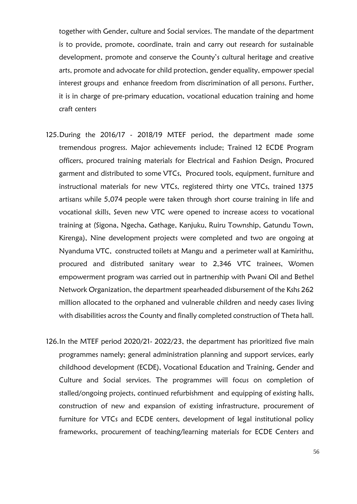together with Gender, culture and Social services. The mandate of the department is to provide, promote, coordinate, train and carry out research for sustainable development, promote and conserve the County's cultural heritage and creative arts, promote and advocate for child protection, gender equality, empower special interest groups and enhance freedom from discrimination of all persons. Further, it is in charge of pre-primary education, vocational education training and home craft centers

- 125.During the 2016/17 2018/19 MTEF period, the department made some tremendous progress. Major achievements include; Trained 12 ECDE Program officers, procured training materials for Electrical and Fashion Design, Procured garment and distributed to some VTCs, Procured tools, equipment, furniture and instructional materials for new VTCs, registered thirty one VTCs, trained 1375 artisans while 5,074 people were taken through short course training in life and vocational skills, Seven new VTC were opened to increase access to vocational training at (Sigona, Ngecha, Gathage, Kanjuku, Ruiru Township, Gatundu Town, Kirenga), Nine development projects were completed and two are ongoing at Nyanduma VTC, constructed toilets at Mangu and a perimeter wall at Kamirithu, procured and distributed sanitary wear to 2,346 VTC trainees, Women empowerment program was carried out in partnership with Pwani Oil and Bethel Network Organization, the department spearheaded disbursement of the Kshs 262 million allocated to the orphaned and vulnerable children and needy cases living with disabilities across the County and finally completed construction of Theta hall.
- 126.In the MTEF period 2020/21- 2022/23, the department has prioritized five main programmes namely; general administration planning and support services, early childhood development (ECDE), Vocational Education and Training, Gender and Culture and Social services. The programmes will focus on completion of stalled/ongoing projects, continued refurbishment and equipping of existing halls, construction of new and expansion of existing infrastructure, procurement of furniture for VTCs and ECDE centers, development of legal institutional policy frameworks, procurement of teaching/learning materials for ECDE Centers and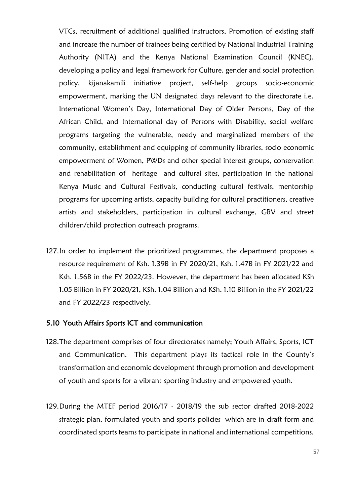VTCs, recruitment of additional qualified instructors, Promotion of existing staff and increase the number of trainees being certified by National Industrial Training Authority (NITA) and the Kenya National Examination Council (KNEC), developing a policy and legal framework for Culture, gender and social protection policy, kijanakamili initiative project, self-help groups socio-economic empowerment, marking the UN designated days relevant to the directorate i.e. International Women's Day, International Day of Older Persons, Day of the African Child, and International day of Persons with Disability, social welfare programs targeting the vulnerable, needy and marginalized members of the community, establishment and equipping of community libraries, socio economic empowerment of Women, PWDs and other special interest groups, conservation and rehabilitation of heritage and cultural sites, participation in the national Kenya Music and Cultural Festivals, conducting cultural festivals, mentorship programs for upcoming artists, capacity building for cultural practitioners, creative artists and stakeholders, participation in cultural exchange, GBV and street children/child protection outreach programs.

127.In order to implement the prioritized programmes, the department proposes a resource requirement of Ksh. 1.39B in FY 2020/21, Ksh. 1.47B in FY 2021/22 and Ksh. 1.56B in the FY 2022/23. However, the department has been allocated KSh 1.05 Billion in FY 2020/21, KSh. 1.04 Billion and KSh. 1.10 Billion in the FY 2021/22 and FY 2022/23 respectively.

### <span id="page-56-0"></span>5.10 Youth Affairs Sports ICT and communication

- 128.The department comprises of four directorates namely; Youth Affairs, Sports, ICT and Communication. This department plays its tactical role in the County's transformation and economic development through promotion and development of youth and sports for a vibrant sporting industry and empowered youth.
- 129.During the MTEF period 2016/17 2018/19 the sub sector drafted 2018-2022 strategic plan, formulated youth and sports policies which are in draft form and coordinated sports teams to participate in national and international competitions.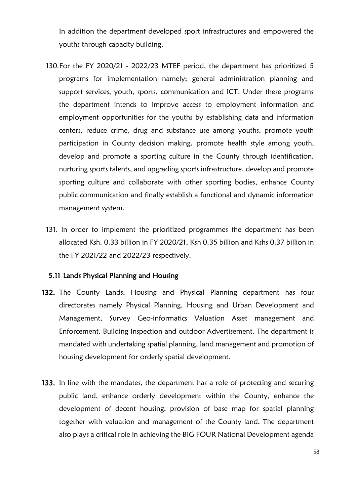In addition the department developed sport infrastructures and empowered the youths through capacity building.

- 130.For the FY 2020/21 2022/23 MTEF period, the department has prioritized 5 programs for implementation namely; general administration planning and support services, youth, sports, communication and ICT. Under these programs the department intends to improve access to employment information and employment opportunities for the youths by establishing data and information centers, reduce crime, drug and substance use among youths, promote youth participation in County decision making, promote health style among youth, develop and promote a sporting culture in the County through identification, nurturing sports talents, and upgrading sports infrastructure, develop and promote sporting culture and collaborate with other sporting bodies, enhance County public communication and finally establish a functional and dynamic information management system.
- 131. In order to implement the prioritized programmes the department has been allocated Ksh. 0.33 billion in FY 2020/21, Ksh 0.35 billion and Kshs 0.37 billion in the FY 2021/22 and 2022/23 respectively.

## <span id="page-57-0"></span>5.11 Lands Physical Planning and Housing

- 132. The County Lands, Housing and Physical Planning department has four directorates namely Physical Planning, Housing and Urban Development and Management, Survey Geo-informatics Valuation Asset management and Enforcement, Building Inspection and outdoor Advertisement. The department is mandated with undertaking spatial planning, land management and promotion of housing development for orderly spatial development.
- 133. In line with the mandates, the department has a role of protecting and securing public land, enhance orderly development within the County, enhance the development of decent housing, provision of base map for spatial planning together with valuation and management of the County land. The department also plays a critical role in achieving the BIG FOUR National Development agenda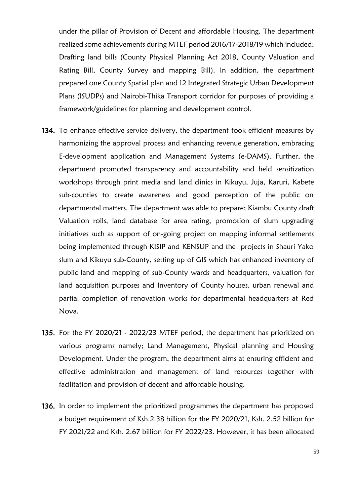under the pillar of Provision of Decent and affordable Housing. The department realized some achievements during MTEF period 2016/17-2018/19 which included; Drafting land bills (County Physical Planning Act 2018, County Valuation and Rating Bill, County Survey and mapping Bill). In addition, the department prepared one County Spatial plan and 12 Integrated Strategic Urban Development Plans (ISUDPs) and Nairobi-Thika Transport corridor for purposes of providing a framework/guidelines for planning and development control.

- 134. To enhance effective service delivery, the department took efficient measures by harmonizing the approval process and enhancing revenue generation, embracing E-development application and Management Systems (e-DAMS). Further, the department promoted transparency and accountability and held sensitization workshops through print media and land clinics in Kikuyu, Juja, Karuri, Kabete sub-counties to create awareness and good perception of the public on departmental matters. The department was able to prepare; Kiambu County draft Valuation rolls, land database for area rating, promotion of slum upgrading initiatives such as support of on-going project on mapping informal settlements being implemented through KISIP and KENSUP and the projects in Shauri Yako slum and Kikuyu sub-County, setting up of GIS which has enhanced inventory of public land and mapping of sub-County wards and headquarters, valuation for land acquisition purposes and Inventory of County houses, urban renewal and partial completion of renovation works for departmental headquarters at Red Nova.
- 135. For the FY 2020/21 2022/23 MTEF period, the department has prioritized on various programs namely; Land Management, Physical planning and Housing Development. Under the program, the department aims at ensuring efficient and effective administration and management of land resources together with facilitation and provision of decent and affordable housing.
- 136. In order to implement the prioritized programmes the department has proposed a budget requirement of Ksh.2.38 billion for the FY 2020/21, Ksh. 2.52 billion for FY 2021/22 and Ksh. 2.67 billion for FY 2022/23. However, it has been allocated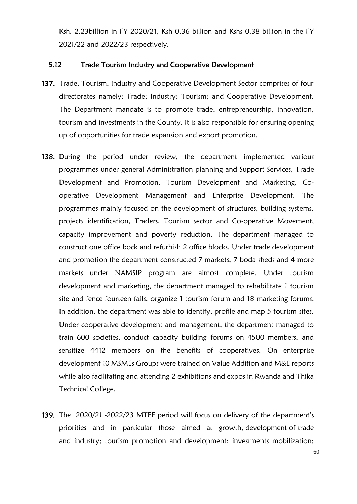Ksh. 2.23billion in FY 2020/21, Ksh 0.36 billion and Kshs 0.38 billion in the FY 2021/22 and 2022/23 respectively.

### <span id="page-59-0"></span>5.12 Trade Tourism Industry and Cooperative Development

- 137. Trade, Tourism, Industry and Cooperative Development Sector comprises of four directorates namely: Trade; Industry; Tourism; and Cooperative Development. The Department mandate is to promote trade, entrepreneurship, innovation, tourism and investments in the County. It is also responsible for ensuring opening up of opportunities for trade expansion and export promotion.
- 138. During the period under review, the department implemented various programmes under general Administration planning and Support Services, Trade Development and Promotion, Tourism Development and Marketing, Cooperative Development Management and Enterprise Development. The programmes mainly focused on the development of structures, building systems, projects identification, Traders, Tourism sector and Co-operative Movement, capacity improvement and poverty reduction. The department managed to construct one office bock and refurbish 2 office blocks. Under trade development and promotion the department constructed 7 markets, 7 boda sheds and 4 more markets under NAMSIP program are almost complete. Under tourism development and marketing, the department managed to rehabilitate 1 tourism site and fence fourteen falls, organize 1 tourism forum and 18 marketing forums. In addition, the department was able to identify, profile and map 5 tourism sites. Under cooperative development and management, the department managed to train 600 societies, conduct capacity building forums on 4500 members, and sensitize 4412 members on the benefits of cooperatives. On enterprise development 10 MSMEs Groups were trained on Value Addition and M&E reports while also facilitating and attending 2 exhibitions and expos in Rwanda and Thika Technical College.
- 139. The 2020/21 -2022/23 MTEF period will focus on delivery of the department's priorities and in particular those aimed at growth, development of trade and industry; tourism promotion and development; investments mobilization;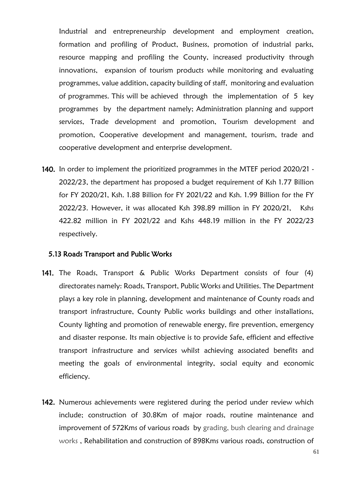Industrial and entrepreneurship development and employment creation, formation and profiling of Product, Business, promotion of industrial parks, resource mapping and profiling the County, increased productivity through innovations, expansion of tourism products while monitoring and evaluating programmes, value addition, capacity building of staff, monitoring and evaluation of programmes. This will be achieved through the implementation of 5 key programmes by the department namely; Administration planning and support services, Trade development and promotion, Tourism development and promotion, Cooperative development and management, tourism, trade and cooperative development and enterprise development.

140. In order to implement the prioritized programmes in the MTEF period 2020/21 -2022/23, the department has proposed a budget requirement of Ksh 1.77 Billion for FY 2020/21, Ksh. 1.88 Billion for FY 2021/22 and Ksh. 1.99 Billion for the FY 2022/23. However, it was allocated Ksh 398.89 million in FY 2020/21, Kshs 422.82 million in FY 2021/22 and Kshs 448.19 million in the FY 2022/23 respectively.

### <span id="page-60-0"></span>5.13 Roads Transport and Public Works

- 141. The Roads, Transport & Public Works Department consists of four (4) directorates namely: Roads, Transport, Public Works and Utilities. The Department plays a key role in planning, development and maintenance of County roads and transport infrastructure, County Public works buildings and other installations, County lighting and promotion of renewable energy, fire prevention, emergency and disaster response. Its main objective is to provide Safe, efficient and effective transport infrastructure and services whilst achieving associated benefits and meeting the goals of environmental integrity, social equity and economic efficiency.
- 142. Numerous achievements were registered during the period under review which include; construction of 30.8Km of major roads, routine maintenance and improvement of 572Kms of various roads by grading, bush clearing and drainage works , Rehabilitation and construction of 898Kms various roads, construction of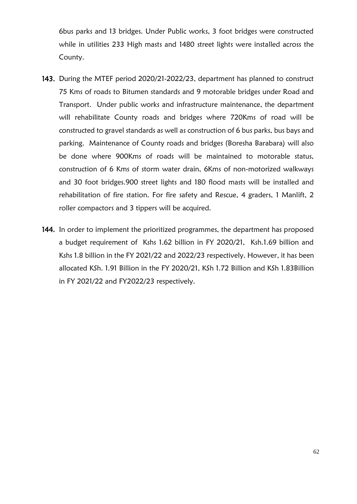6bus parks and 13 bridges. Under Public works, 3 foot bridges were constructed while in utilities 233 High masts and 1480 street lights were installed across the County.

- 143. During the MTEF period 2020/21-2022/23, department has planned to construct 75 Kms of roads to Bitumen standards and 9 motorable bridges under Road and Transport. Under public works and infrastructure maintenance, the department will rehabilitate County roads and bridges where 720Kms of road will be constructed to gravel standards as well as construction of 6 bus parks, bus bays and parking. Maintenance of County roads and bridges (Boresha Barabara) will also be done where 900Kms of roads will be maintained to motorable status, construction of 6 Kms of storm water drain, 6Kms of non-motorized walkways and 30 foot bridges.900 street lights and 180 flood masts will be installed and rehabilitation of fire station. For fire safety and Rescue, 4 graders, 1 Manlift, 2 roller compactors and 3 tippers will be acquired.
- 144. In order to implement the prioritized programmes, the department has proposed a budget requirement of Kshs 1.62 billion in FY 2020/21, Ksh.1.69 billion and Kshs 1.8 billion in the FY 2021/22 and 2022/23 respectively. However, it has been allocated KSh. 1.91 Billion in the FY 2020/21, KSh 1.72 Billion and KSh 1.83Billion in FY 2021/22 and FY2022/23 respectively.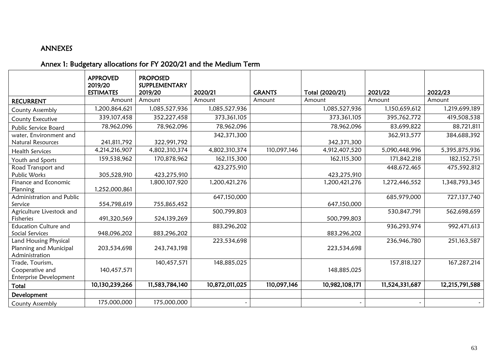# ANNEXES

# Annex 1: Budgetary allocations for FY 2020/21 and the Medium Term

<span id="page-62-1"></span><span id="page-62-0"></span>

|                              | <b>APPROVED</b><br>2019/20 | <b>PROPOSED</b><br>SUPPLEMENTARY |                |               |                 |                |                |
|------------------------------|----------------------------|----------------------------------|----------------|---------------|-----------------|----------------|----------------|
|                              | <b>ESTIMATES</b>           | 2019/20                          | 2020/21        | <b>GRANTS</b> | Total (2020/21) | 2021/22        | 2022/23        |
| <b>RECURRENT</b>             | Amount                     | Amount                           | Amount         | Amount        | Amount          | Amount         | Amount         |
| County Assembly              | 1,200,864,621              | 1,085,527,936                    | 1,085,527,936  |               | 1,085,527,936   | 1,150,659,612  | 1,219,699,189  |
| County Executive             | 339,107,458                | 352,227,458                      | 373, 361, 105  |               | 373, 361, 105   | 395,762,772    | 419,508,538    |
| Public Service Board         | 78,962,096                 | 78,962,096                       | 78,962,096     |               | 78,962,096      | 83,699,822     | 88,721,811     |
| water, Environment and       |                            |                                  | 342,371,300    |               |                 | 362,913,577    | 384,688,392    |
| Natural Resources            | 241,811,792                | 322,991,792                      |                |               | 342,371,300     |                |                |
| <b>Health Services</b>       | 4,214,216,907              | 4,802,310,374                    | 4,802,310,374  | 110,097,146   | 4,912,407,520   | 5,090,448,996  | 5,395,875,936  |
| Youth and Sports             | 159,538,962                | 170,878,962                      | 162,115,300    |               | 162,115,300     | 171,842,218    | 182, 152, 751  |
| Road Transport and           |                            |                                  | 423,275,910    |               |                 | 448,672,465    | 475,592,812    |
| Public Works                 | 305,528,910                | 423,275,910                      |                |               | 423,275,910     |                |                |
| Finance and Economic         |                            | 1,800,107,920                    | 1,200,421,276  |               | 1,200,421,276   | 1,272,446,552  | 1,348,793,345  |
| Planning                     | 1,252,000,861              |                                  |                |               |                 |                |                |
| Administration and Public    |                            |                                  | 647,150,000    |               |                 | 685,979,000    | 727,137,740    |
| Service                      | 554,798,619                | 755,865,452                      |                |               | 647,150,000     |                |                |
| Agriculture Livestock and    |                            |                                  | 500,799,803    |               |                 | 530,847,791    | 562,698,659    |
| Fisheries                    | 491,320,569                | 524,139,269                      |                |               | 500,799,803     |                |                |
| <b>Education Culture and</b> |                            |                                  | 883,296,202    |               |                 | 936,293,974    | 992,471,613    |
| Social Services              | 948,096,202                | 883,296,202                      |                |               | 883,296,202     |                |                |
| Land Housing Physical        |                            |                                  | 223,534,698    |               |                 | 236,946,780    | 251,163,587    |
| Planning and Municipal       | 203,534,698                | 243,743,198                      |                |               | 223,534,698     |                |                |
| Administration               |                            |                                  |                |               |                 |                |                |
| Trade, Tourism,              |                            | 140,457,571                      | 148,885,025    |               |                 | 157,818,127    | 167,287,214    |
| Cooperative and              | 140,457,571                |                                  |                |               | 148,885,025     |                |                |
| Enterprise Development       |                            |                                  |                |               |                 |                |                |
| Total                        | 10,130,239,266             | 11,583,784,140                   | 10,872,011,025 | 110,097,146   | 10,982,108,171  | 11,524,331,687 | 12,215,791,588 |
| Development                  |                            |                                  |                |               |                 |                |                |
| County Assembly              | 175,000,000                | 175,000,000                      |                |               |                 |                |                |